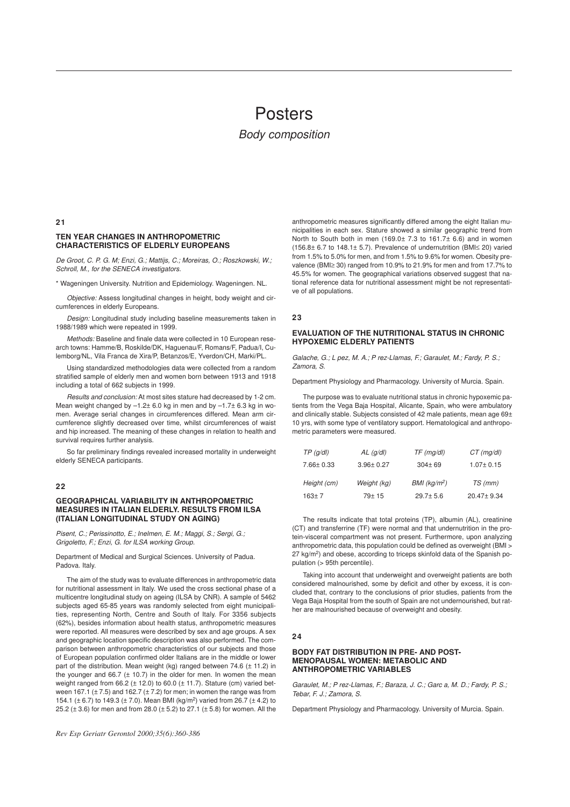# Posters

*Body composition*

#### **21**

# **TEN YEAR CHANGES IN ANTHROPOMETRIC CHARACTERISTICS OF ELDERLY EUROPEANS**

*De Groot, C. P. G. M; Enzi, G.; Mattijs, C.; Moreiras, O.; Roszkowski, W.; Schroll, M., for the SENECA investigators.*

\* Wageningen University. Nutrition and Epidemiology. Wageningen. NL.

*Objective:* Assess longitudinal changes in height, body weight and circumferences in elderly Europeans.

*Design:* Longitudinal study including baseline measurements taken in 1988/1989 which were repeated in 1999.

*Methods:* Baseline and finale data were collected in 10 European research towns: Hamme/B, Roskilde/DK, Haguenau/F, Romans/F, Padua/I, Culemborg/NL, Vila Franca de Xira/P, Betanzos/E, Yverdon/CH, Marki/PL.

Using standardized methodologies data were collected from a random stratified sample of elderly men and women born between 1913 and 1918 including a total of 662 subjects in 1999.

*Results and conclusion:* At most sites stature had decreased by 1-2 cm. Mean weight changed by  $-1.2 \pm 6.0$  kg in men and by  $-1.7 \pm 6.3$  kg in women. Average serial changes in circumferences differed. Mean arm circumference slightly decreased over time, whilst circumferences of waist and hip increased. The meaning of these changes in relation to health and survival requires further analysis.

So far preliminary findings revealed increased mortality in underweight elderly SENECA participants.

# **22**

#### **GEOGRAPHICAL VARIABILITY IN ANTHROPOMETRIC MEASURES IN ITALIAN ELDERLY. RESULTS FROM ILSA (ITALIAN LONGITUDINAL STUDY ON AGING)**

*Pisent, C.; Perissinotto, E.; Inelmen, E. M.; Maggi, S.; Sergi, G.; Grigoletto, F.; Enzi, G. for ILSA working Group.*

Department of Medical and Surgical Sciences. University of Padua. Padova. Italy.

The aim of the study was to evaluate differences in anthropometric data for nutritional assessment in Italy. We used the cross sectional phase of a multicentre longitudinal study on ageing (ILSA by CNR). A sample of 5462 subjects aged 65-85 years was randomly selected from eight municipalities, representing North, Centre and South of Italy. For 3356 subjects (62%), besides information about health status, anthropometric measures were reported. All measures were described by sex and age groups. A sex and geographic location specific description was also performed. The comparison between anthropometric characteristics of our subjects and those of European population confirmed older Italians are in the middle or lower part of the distribution. Mean weight (kg) ranged between 74.6 (± 11.2) in the younger and 66.7  $(\pm 10.7)$  in the older for men. In women the mean weight ranged from  $66.2$  ( $\pm$  12.0) to  $60.0$  ( $\pm$  11.7). Stature (cm) varied between 167.1 ( $\pm$  7.5) and 162.7 ( $\pm$  7.2) for men; in women the range was from 154.1 ( $\pm$  6.7) to 149.3 ( $\pm$  7.0). Mean BMI (kg/m<sup>2</sup>) varied from 26.7 ( $\pm$  4.2) to 25.2 (± 3.6) for men and from 28.0 (± 5.2) to 27.1 (± 5.8) for women. All the

anthropometric measures significantly differed among the eight Italian municipalities in each sex. Stature showed a similar geographic trend from North to South both in men (169.0± 7.3 to 161.7± 6.6) and in women (156.8± 6.7 to 148.1± 5.7). Prevalence of undernutrition (BMI≤ 20) varied from 1.5% to 5.0% for men, and from 1.5% to 9.6% for women. Obesity prevalence (BMI≥ 30) ranged from 10.9% to 21.9% for men and from 17.7% to 45.5% for women. The geographical variations observed suggest that national reference data for nutritional assessment might be not representative of all populations.

#### **23**

# **EVALUATION OF THE NUTRITIONAL STATUS IN CHRONIC HYPOXEMIC ELDERLY PATIENTS**

*Galache, G.; Lpez, M. A.; Prez-Llamas, F.; Garaulet, M.; Fardy, P. S.; Zamora, S.*

Department Physiology and Pharmacology. University of Murcia. Spain.

The purpose was to evaluate nutritional status in chronic hypoxemic patients from the Vega Baja Hospital, Alicante, Spain, who were ambulatory and clinically stable. Subjects consisted of 42 male patients, mean age 69± 10 yrs, with some type of ventilatory support. Hematological and anthropometric parameters were measured.

| TP(q/dl)        | $AL$ (g/dl)     | $TF$ (mg/dl)             | $CT$ (mg/dl)    |
|-----------------|-----------------|--------------------------|-----------------|
| $7.66 \pm 0.33$ | $3.96 \pm 0.27$ | $304 + 69$               | $1.07 \pm 0.15$ |
| Height (cm)     | Weight (kg)     | BMI (kg/m <sup>2</sup> ) | TS (mm)         |
| $163 + 7$       | $79+15$         | $29.7 \pm 5.6$           | 20.47±9.34      |

The results indicate that total proteins (TP), albumin (AL), creatinine (CT) and transferrine (TF) were normal and that undernutrition in the protein-visceral compartment was not present. Furthermore, upon analyzing anthropometric data, this population could be defined as overweight (BMI > 27 kg/m<sup>2</sup>) and obese, according to triceps skinfold data of the Spanish population (> 95th percentile).

Taking into account that underweight and overweight patients are both considered malnourished, some by deficit and other by excess, it is concluded that, contrary to the conclusions of prior studies, patients from the Vega Baja Hospital from the south of Spain are not undernourished, but rather are malnourished because of overweight and obesity.

#### **24**

#### **BODY FAT DISTRIBUTION IN PRE- AND POST-MENOPAUSAL WOMEN: METABOLIC AND ANTHROPOMETRIC VARIABLES**

Garaulet, M.; P rez-Llamas, F.; Baraza, J. C.; Garc a, M. D.; Fardy, P. S.; *Tebar, F. J.; Zamora, S.*

Department Physiology and Pharmacology. University of Murcia. Spain.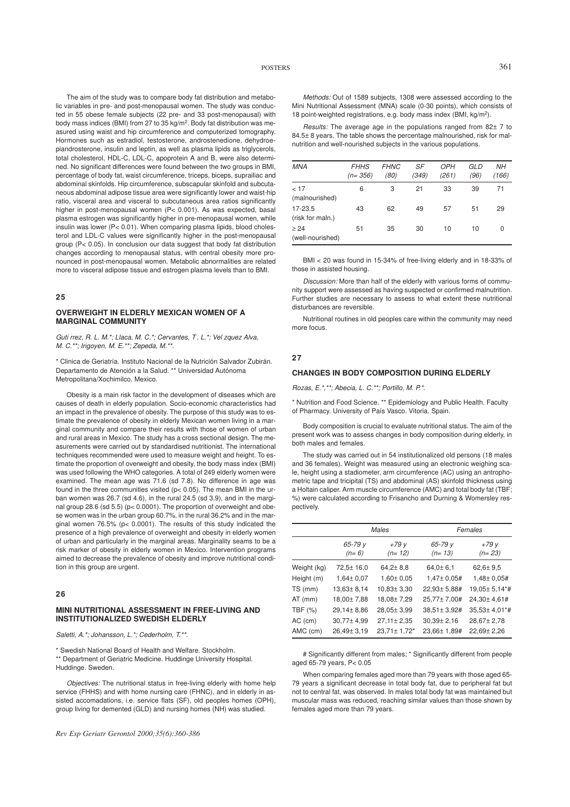The aim of the study was to compare body fat distribution and metabolic variables in pre- and post-menopausal women. The study was conducted in 55 obese female subjects (22 pre- and 33 post-menopausal) with body mass indices (BMI) from 27 to 35 kg/m<sup>2</sup>. Body fat distribution was measured using waist and hip circumference and computerized tomography. Hormones such as estradiol, testosterone, androstenedione, dehydroepiandrosterone, insulin and leptin, as well as plasma lipids as triglycerols, total cholesterol, HDL-C, LDL-C, apoprotein A and B, were also determined. No significant differences were found between the two groups in BMI, percentage of body fat, waist circumference, triceps, biceps, suprailiac and abdominal skinfolds. Hip circumference, subscapular skinfold and subcutaneous abdominal adipose tissue area were significantly lower and waist-hip ratio, visceral area and visceral to subcutaneous area ratios significantly higher in post-menopausal women (P< 0.001). As was expected, basal plasma estrogen was significantly higher in pre-menopausal women, while insulin was lower (P< 0.01). When comparing plasma lipids, blood cholesterol and LDL-C values were significantly higher in the post-menopausal group (P< 0.05). In conclusion our data suggest that body fat distribution changes according to menopausal status, with central obesity more pronounced in post-menopausal women. Metabolic abnormalities are related more to visceral adipose tissue and estrogen plasma levels than to BMI.

#### **25**

# **OVERWEIGHT IN ELDERLY MEXICAN WOMEN OF A MARGINAL COMMUNITY**

Guti rrez, R. L. M.\*; Llaca, M. C.\*; Cervantes, T. L.\*; Vel zquez Alva, *M. C.\*\*; Irigoyen, M. E.\*\*; Zepeda, M.\*\*.*

\* Clinica de Geriatría. Instituto Nacional de la Nutrición Salvador Zubirán. Departamento de Atención a la Salud. \*\* Universidad Autónoma Metropolitana/Xochimilco. Mexico.

Obesity is a main risk factor in the development of diseases which are causes of death in elderly population. Socio-economic characteristics had an impact in the prevalence of obesity. The purpose of this study was to estimate the prevalence of obesity in elderly Mexican women living in a marginal community and compare their results with those of women of urban and rural areas in Mexico. The study has a cross sectional design. The measurements were carried out by standardised nutritionist. The international techniques recommended were used to measure weight and height. To estimate the proportion of overweight and obesity, the body mass index (BMI) was used following the WHO categories. A total of 249 elderly women were examined. The mean age was 71.6 (sd 7.8). No difference in age was found in the three communities visited (p< 0.05). The mean BMI in the urban women was 26.7 (sd 4.6), in the rural 24.5 (sd 3.9), and in the marginal group 28.6 (sd 5.5) (p< 0.0001). The proportion of overweight and obese women was in the urban group 60.7%, in the rural 36.2% and in the marginal women 76.5% (p< 0.0001). The results of this study indicated the presence of a high prevalence of overweight and obesity in elderly women of urban and particularly in the marginal areas. Marginality seams to be a risk marker of obesity in elderly women in Mexico. Intervention programs aimed to decrease the prevalence of obesity and improve nutritional condition in this group are urgent.

# **26**

#### **MINI NUTRITIONAL ASSESSMENT IN FREE-LIVING AND INSTITUTIONALIZED SWEDISH ELDERLY**

*Saletti, A.\*; Johansson, L.\*; Cederholm, T.\*\*.*

\* Swedish National Board of Health and Welfare. Stockholm.

\*\* Department of Geriatric Medicine. Huddinge University Hospital. Huddinge. Sweden.

*Objectives:* The nutritional status in free-living elderly with home help service (FHHS) and with home nursing care (FHNC), and in elderly in assisted accomadations, i.e. service flats (SF), old peoples homes (OPH), group living for demented (GLD) and nursing homes (NH) was studied.

*Rev Esp Geriatr Gerontol 2000;35(6):360-386*

*Methods:* Out of 1589 subjects, 1308 were assessed according to the Mini Nutritional Assessment (MNA) scale (0-30 points), which consists of 18 point-weighted registrations, e.g. body mass index (BMI, kg/m<sup>2</sup> ).

*Results:* The average age in the populations ranged from 82± 7 to 84.5± 8 years. The table shows the percentage malnourished, risk for malnutrition and well-nourished subjects in the various populations.

| <b>MNA</b>                  | <b>FHHS</b><br>$(n=356)$ | <b>FHNC</b><br>(80) | SF<br>(349) | <b>OPH</b><br>(261) | GLD<br>(96) | <b>NH</b><br>(166) |
|-----------------------------|--------------------------|---------------------|-------------|---------------------|-------------|--------------------|
| < 17<br>(malnourished)      | 6                        | 3                   | 21          | 33                  | 39          | 71                 |
| 17-23.5<br>(risk for maln.) | 43                       | 62                  | 49          | 57                  | 51          | 29                 |
| > 24<br>(well-nourished)    | 51                       | 35                  | 30          | 10                  | 10          | 0                  |

BMI < 20 was found in 15-34% of free-living elderly and in 18-33% of those in assisted housing.

*Discussion:* More than half of the elderly with various forms of community support were assessed as having suspected or confirmed malnutrition. Further studies are necessary to assess to what extent these nutritional disturbances are reversible.

Nutritional routines in old peoples care within the community may need more focus.

# **27**

# **CHANGES IN BODY COMPOSITION DURING ELDERLY**

*Rozas, E.\*,\*\*; Abecia, L. C.\*\*; Portillo, M. P.\*.*

\* Nutrition and Food Science. \*\* Epidemiology and Public Health. Faculty of Pharmacy. University of País Vasco. Vitoria. Spain.

Body composition is crucial to evaluate nutritional status. The aim of the present work was to assess changes in body composition during elderly, in both males and females.

The study was carried out in 54 institutionalized old persons (18 males and 36 females). Weight was measured using an electronic weighing scale, height using a stadiometer, arm circumference (AC) using an antrophometric tape and tricipital (TS) and abdominal (AS) skinfold thickness using a Holtain caliper. Arm muscle circumference (AMC) and total body fat (TBF; %) were calculated according to Frisancho and Durning & Womersley respectively.

|             | Males              |                   | Females             |                    |  |
|-------------|--------------------|-------------------|---------------------|--------------------|--|
|             | 65-79 y<br>$(n=6)$ | $+79y$<br>(n= 12) | 65-79 y<br>$(n=13)$ | $+79y$<br>$(n=23)$ |  |
| Weight (kg) | 72,5± 16,0         | $64,2 \pm 8,8$    | 64,0±6,1            | $62,6 \pm 9,5$     |  |
| Height (m)  | 1,64± 0,07         | 1,60± 0,05        | 1,47± 0,05#         | 1,48± 0,05#        |  |
| TS (mm)     | $13,63 \pm 8,14$   | 10,83± 3,30       | 22,93± 5,88#        | 19,05± 5,14*#      |  |
| AT (mm)     | 18,00±7,88         | 18,08±7,29        | 25,77±7,00#         | 24,30±4,61#        |  |
| TBF (%)     | 29,14±8,86         | 28,05±3,99        | 38,51± 3,92#        | 35,53± 4,01*#      |  |
| AC (cm)     | 30,77±4,99         | $27,11 \pm 2,35$  | $30,39 \pm 2,16$    | 28,67± 2,78        |  |
| AMC (cm)    | 26,49± 3,19        | 23,71± 1,72*      | 23,66± 1,89#        | 22,69± 2,26        |  |

# Significantly different from males; \* Significantly different from people aged 65-79 years, P< 0.05

When comparing females aged more than 79 years with those aged 65- 79 years a significant decrease in total body fat, due to peripheral fat but not to central fat, was observed. In males total body fat was maintained but muscular mass was reduced, reaching similar values than those shown by females aged more than 79 years.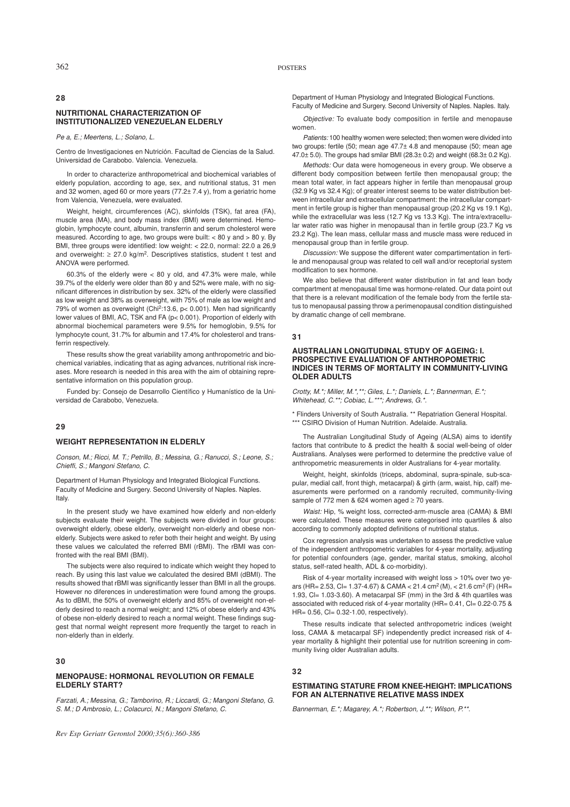# **28**

# **NUTRITIONAL CHARACTERIZATION OF INSTITUTIONALIZED VENEZUELAN ELDERLY**

*Pea, E.; Meertens, L.; Solano, L.*

Centro de Investigaciones en Nutrición. Facultad de Ciencias de la Salud. Universidad de Carabobo. Valencia. Venezuela.

In order to characterize anthropometrical and biochemical variables of elderly population, according to age, sex, and nutritional status, 31 men and 32 women, aged 60 or more years  $(77.2 \pm 7.4 \text{ y})$ , from a geriatric home from Valencia, Venezuela, were evaluated.

Weight, height, circumferences (AC), skinfolds (TSK), fat area (FA), muscle area (MA), and body mass index (BMI) were determined. Hemoglobin, lymphocyte count, albumin, transferrin and serum cholesterol were measured. According to age, two groups were built:  $< 80$  y and  $> 80$  y. By BMI, three groups were identified: low weight: < 22.0, normal: 22.0 a 26,9 and overweight:  $\geq$  27.0 kg/m<sup>2</sup>. Descriptives statistics, student t test and ANOVA were performed.

60.3% of the elderly were  $< 80$  y old, and 47.3% were male, while 39.7% of the elderly were older than 80 y and 52% were male, with no significant differences in distribution by sex. 32% of the elderly were classified as low weight and 38% as overweight, with 75% of male as low weight and 79% of women as overweight (Chi<sup>2</sup>:13.6,  $p$  < 0.001). Men had significantly lower values of BMI, AC, TSK and FA (p< 0.001). Proportion of elderly with abnormal biochemical parameters were 9.5% for hemoglobin, 9.5% for lymphocyte count, 31.7% for albumin and 17.4% for cholesterol and transferrin respectively.

These results show the great variability among anthropometric and biochemical variables, indicating that as aging advances, nutritional risk increases. More research is needed in this area with the aim of obtaining representative information on this population group.

Funded by: Consejo de Desarrollo Científico y Humanístico de la Universidad de Carabobo, Venezuela.

#### **29**

# **WEIGHT REPRESENTATION IN ELDERLY**

*Conson, M.; Ricci, M. T.; Petrillo, B.; Messina, G.; Ranucci, S.; Leone, S.; Chieffi, S.; Mangoni Stefano, C.*

Department of Human Physiology and Integrated Biological Functions. Faculty of Medicine and Surgery. Second University of Naples. Naples. Italy.

In the present study we have examined how elderly and non-elderly subjects evaluate their weight. The subjects were divided in four groups: overweight elderly, obese elderly, overweight non-elderly and obese nonelderly. Subjects were asked to refer both their height and weight. By using these values we calculated the referred BMI (rBMI). The rBMI was confronted with the real BMI (BMI).

The subjects were also required to indicate which weight they hoped to reach. By using this last value we calculated the desired BMI (dBMI). The results showed that rBMI was significantly lesser than BMI in all the groups. However no diferences in underestimation were found among the groups. As to dBMI, the 50% of overweight elderly and 85% of overweight non-elderly desired to reach a normal weight; and 12% of obese elderly and 43% of obese non-elderly desired to reach a normal weight. These findings suggest that normal weight represent more frequently the target to reach in non-elderly than in elderly.

#### **30**

# **MENOPAUSE: HORMONAL REVOLUTION OR FEMALE ELDERLY START?**

*Farzati, A.; Messina, G.; Tamborino, R.; Liccardi, G.; Mangoni Stefano, G. S. M.; D Ambrosio, L.; Colacurci, N.; Mangoni Stefano, C.* 

*Rev Esp Geriatr Gerontol 2000;35(6):360-386*

Department of Human Physiology and Integrated Biological Functions. Faculty of Medicine and Surgery. Second University of Naples. Naples. Italy.

*Objective:* To evaluate body composition in fertile and menopause women.

*Patients:* 100 healthy women were selected; then women were divided into two groups: fertile (50; mean age 47.7± 4.8 and menopause (50; mean age 47.0± 5.0). The groups had smilar BMI (28.3± 0.2) and weight (68.3± 0.2 Kg).

*Methods:* Our data were homogeneous in every group. We observe a different body composition between fertile then menopausal group; the mean total water, in fact appears higher in fertile than menopausal group (32.9 Kg vs 32.4 Kg); of greater interest seems to be water distribution between intracellular and extracellular compartment: the intracellular compartment in fertile group is higher than menopausal group  $(20.2 \text{ Ka vs } 19.1 \text{ Ka})$ . while the extracellular was less (12.7 Kg vs 13.3 Kg). The intra/extracellular water ratio was higher in menopausal than in fertile group (23.7 Kg vs 23.2 Kg). The lean mass, cellular mass and muscle mass were reduced in menopausal group than in fertile group.

*Discussion:* We suppose the different water compartimentation in fertile and menopausal group was related to cell wall and/or receptorial system modification to sex hormone.

We also believe that different water distribution in fat and lean body compartment at menopausal time was hormone-related. Our data point out that there is a relevant modification of the female body from the fertile status to menopausal passing throw a perimenopausal condition distinguished by dramatic change of cell membrane.

#### **31**

#### **AUSTRALIAN LONGITUDINAL STUDY OF AGEING: I. PROSPECTIVE EVALUATION OF ANTHROPOMETRIC INDICES IN TERMS OF MORTALITY IN COMMUNITY-LIVING OLDER ADULTS**

*Crotty, M.\*; Miller, M.\*,\*\*; Giles, L.\*; Daniels, L.\*; Bannerman, E.\*; Whitehead, C.\*\*; Cobiac, L.\*\*\*; Andrews, G.\*.*

\* Flinders University of South Australia. \*\* Repatriation General Hospital. \*\*\* CSIRO Division of Human Nutrition. Adelaide. Australia.

The Australian Longitudinal Study of Ageing (ALSA) aims to identify factors that contribute to & predict the health & social well-being of older Australians. Analyses were performed to determine the predctive value of anthropometric measurements in older Australians for 4-year mortality.

Weight, height, skinfolds (triceps, abdominal, supra-spinale, sub-scapular, medial calf, front thigh, metacarpal) & girth (arm, waist, hip, calf) measurements were performed on a randomly recruited, community-living sample of 772 men & 624 women aged ≥ 70 years.

*Waist:* Hip, % weight loss, corrected-arm-muscle area (CAMA) & BMI were calculated. These measures were categorised into quartiles & also according to commonly adopted definitions of nutritional status.

Cox regression analysis was undertaken to assess the predictive value of the independent anthropometric variables for 4-year mortality, adjusting for potential confounders (age, gender, marital status, smoking, alcohol status, self-rated health, ADL & co-morbidity).

Risk of 4-year mortality increased with weight loss > 10% over two years (HR= 2.53, Cl= 1.37-4.67) & CAMA <  $21.4$  cm<sup>2</sup> (M), <  $21.6$  cm<sup>2</sup> (F) (HR= 1.93, Cl= 1.03-3.60). A metacarpal SF (mm) in the 3rd & 4th quartiles was associated with reduced risk of 4-year mortality (HR= 0.41, Cl= 0.22-0.75 & HR= 0.56, Cl= 0.32-1.00, respectively).

These results indicate that selected anthropometric indices (weight loss, CAMA & metacarpal SF) independently predict increased risk of 4 year mortality & highlight their potential use for nutrition screening in community living older Australian adults.

#### **32**

## **ESTIMATING STATURE FROM KNEE-HEIGHT: IMPLICATIONS FOR AN ALTERNATIVE RELATIVE MASS INDEX**

*Bannerman, E.\*; Magarey, A.\*; Robertson, J.\*\*; Wilson, P.\*\*.*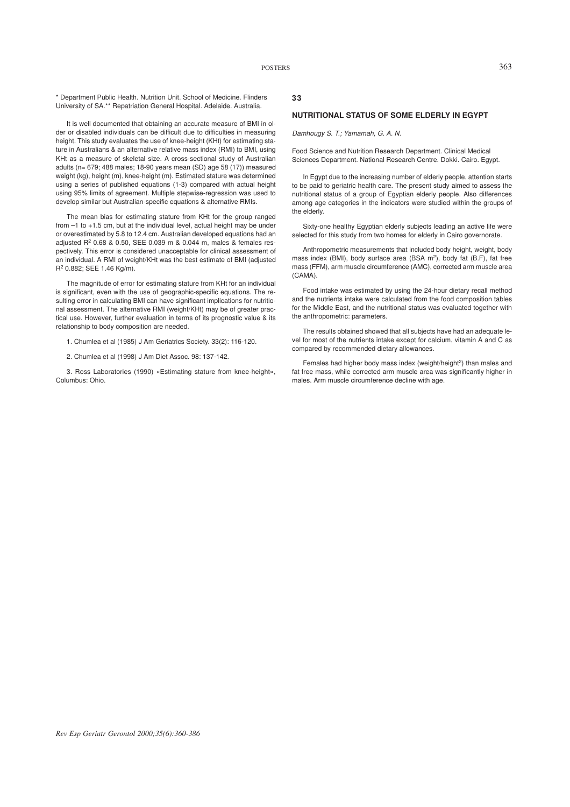\* Department Public Health. Nutrition Unit. School of Medicine. Flinders University of SA.\*\* Repatriation General Hospital. Adelaide. Australia.

It is well documented that obtaining an accurate measure of BMI in older or disabled individuals can be difficult due to difficulties in measuring height. This study evaluates the use of knee-height (KHt) for estimating stature in Australians & an alternative relative mass index (RMI) to BMI, using KHt as a measure of skeletal size. A cross-sectional study of Australian adults ( $n= 679$ ; 488 males; 18-90 years mean (SD) age 58 (17)) measured weight (kg), height (m), knee-height (m). Estimated stature was determined using a series of published equations (1-3) compared with actual height using 95% limits of agreement. Multiple stepwise-regression was used to develop similar but Australian-specific equations & alternative RMIs.

The mean bias for estimating stature from KHt for the group ranged from –1 to +1.5 cm, but at the individual level, actual height may be under or overestimated by 5.8 to 12.4 cm. Australian developed equations had an adjusted R<sup>2</sup> 0.68 & 0.50, SEE 0.039 m & 0.044 m, males & females respectively. This error is considered unacceptable for clinical assessment of an individual. A RMI of weight/KHt was the best estimate of BMI (adjusted R<sup>2</sup> 0.882; SEE 1.46 Kg/m).

The magnitude of error for estimating stature from KHt for an individual is significant, even with the use of geographic-specific equations. The resulting error in calculating BMI can have significant implications for nutritional assessment. The alternative RMI (weight/KHt) may be of greater practical use. However, further evaluation in terms of its prognostic value & its relationship to body composition are needed.

1. Chumlea et al (1985) J Am Geriatrics Society. 33(2): 116-120.

2. Chumlea et al (1998) J Am Diet Assoc. 98: 137-142.

3. Ross Laboratories (1990) «Estimating stature from knee-height», Columbus: Ohio.

# **33**

## **NUTRITIONAL STATUS OF SOME ELDERLY IN EGYPT**

*Damhougy S. T.; Yamamah, G. A. N.*

Food Science and Nutrition Research Department. Clinical Medical Sciences Department. National Research Centre. Dokki. Cairo. Egypt.

In Egypt due to the increasing number of elderly people, attention starts to be paid to geriatric health care. The present study aimed to assess the nutritional status of a group of Egyptian elderly people. Also differences among age categories in the indicators were studied within the groups of the elderly.

Sixty-one healthy Egyptian elderly subjects leading an active life were selected for this study from two homes for elderly in Cairo governorate.

Anthropometric measurements that included body height, weight, body mass index (BMI), body surface area (BSA m<sup>2</sup>), body fat (B.F), fat free mass (FFM), arm muscle circumference (AMC), corrected arm muscle area (CAMA).

Food intake was estimated by using the 24-hour dietary recall method and the nutrients intake were calculated from the food composition tables for the Middle East, and the nutritional status was evaluated together with the anthropometric: parameters.

The results obtained showed that all subjects have had an adequate level for most of the nutrients intake except for calcium, vitamin A and C as compared by recommended dietary allowances.

Females had higher body mass index (weight/height<sup>2</sup>) than males and fat free mass, while corrected arm muscle area was significantly higher in males. Arm muscle circumference decline with age.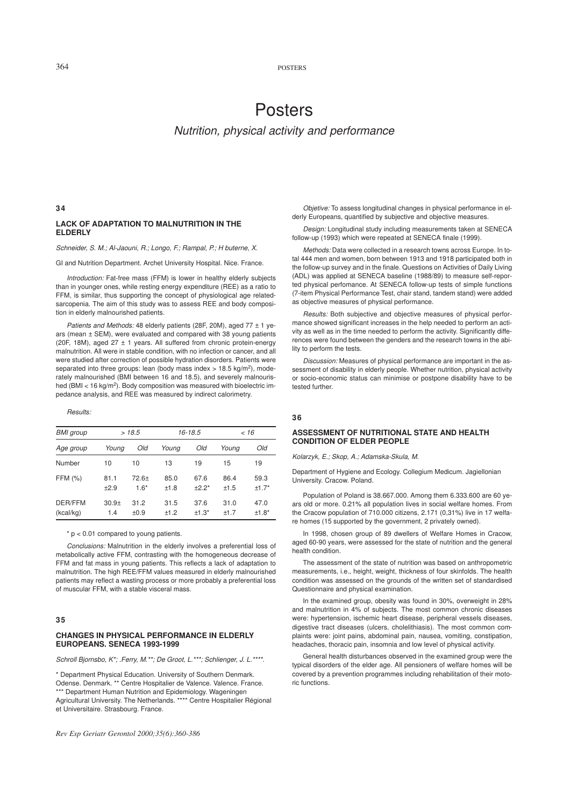364 POSTERS

# Posters *Nutrition, physical activity and performance*

#### **34**

# **LACK OF ADAPTATION TO MALNUTRITION IN THE ELDERLY**

# *Schneider, S. M.; Al-Jaouni, R.; Longo, F.; Rampal, P.; H buterne, X.*

GI and Nutrition Department. Archet University Hospital. Nice. France.

*Introduction:* Fat-free mass (FFM) is lower in healthy elderly subjects than in younger ones, while resting energy expenditure (REE) as a ratio to FFM, is similar, thus supporting the concept of physiological age relatedsarcopenia. The aim of this study was to assess REE and body composition in elderly malnourished patients.

*Patients and Methods:* 48 elderly patients (28F, 20M), aged 77 ± 1 years (mean ± SEM), were evaluated and compared with 38 young patients (20F, 18M), aged 27  $\pm$  1 years. All suffered from chronic protein-energy malnutrition. All were in stable condition, with no infection or cancer, and all were studied after correction of possible hydration disorders. Patients were separated into three groups: lean (body mass index  $> 18.5$  kg/m<sup>2</sup>), moderately malnourished (BMI between 16 and 18.5), and severely malnourished (BMI < 16 kg/m<sup>2</sup>). Body composition was measured with bioelectric impedance analysis, and REE was measured by indirect calorimetry.

#### *Results:*

| <b>BMI</b> group     |                          | >18.5           |                | 16-18.5         |                | < 16            |
|----------------------|--------------------------|-----------------|----------------|-----------------|----------------|-----------------|
| Age group            | Young                    | Old             | Young          | Old             | Young          | Old             |
| Number               | 10                       | 10              | 13             | 19              | 15             | 19              |
| FFM (%)              | 81.1<br>$+2.9$           | 72.6+<br>$1.6*$ | 85.0<br>±1.8   | 67.6<br>$+2.2*$ | 86.4<br>±1.5   | 59.3<br>$±1.7*$ |
| DER/FFM<br>(kcal/kg) | 30.9 <sub>±</sub><br>1.4 | 31.2<br>±0.9    | 31.5<br>$+1.2$ | 37.6<br>$±1.3*$ | 31.0<br>$+1.7$ | 47.0<br>$±1.8*$ |

#### \* p < 0.01 compared to young patients.

*Conclusions:* Malnutrition in the elderly involves a preferential loss of metabolically active FFM, contrasting with the homogeneous decrease of FFM and fat mass in young patients. This reflects a lack of adaptation to malnutrition. The high REE/FFM values measured in elderly malnourished patients may reflect a wasting process or more probably a preferential loss of muscular FFM, with a stable visceral mass.

# **35**

#### **CHANGES IN PHYSICAL PERFORMANCE IN ELDERLY EUROPEANS. SENECA 1993-1999**

*Schroll Bjornsbo, K\*; .Ferry, M.\*\*; De Groot, L.\*\*\*; Schlienger, J. L.\*\*\*\*.*

\* Department Physical Education. University of Southern Denmark. Odense. Denmark. \*\* Centre Hospitalier de Valence. Valence. France. \*\*\* Department Human Nutrition and Epidemiology. Wageningen Agricultural University. The Netherlands. \*\*\*\* Centre Hospitalier Régional et Universitaire. Strasbourg. France.

*Objetive:* To assess longitudinal changes in physical performance in elderly Europeans, quantified by subjective and objective measures.

*Design:* Longitudinal study including measurements taken at SENECA follow-up (1993) which were repeated at SENECA finale (1999).

*Methods:* Data were collected in a research towns across Europe. In total 444 men and women, born between 1913 and 1918 participated both in the follow-up survey and in the finale. Questions on Activities of Daily Living (ADL) was applied at SENECA baseline (1988/89) to measure self-reported physical perfomance. At SENECA follow-up tests of simple functions (7-item Physical Performance Test, chair stand, tandem stand) were added as objective measures of physical performance.

*Results:* Both subjective and objective measures of physical performance showed significant increases in the help needed to perform an activity as well as in the time needed to perform the activity. Significantly differences were found between the genders and the research towns in the ability to perform the tests.

*Discussion:* Measures of physical performance are important in the assessment of disability in elderly people. Whether nutrition, physical activity or socio-economic status can minimise or postpone disability have to be tested further.

# **36**

## **ASSESSMENT OF NUTRITIONAL STATE AND HEALTH CONDITION OF ELDER PEOPLE**

*Kolarzyk, E.; Skop, A.; Adamska-Skula, M.*

Department of Hygiene and Ecology. Collegium Medicum. Jagiellonian University. Cracow. Poland.

Population of Poland is 38.667.000. Among them 6.333.600 are 60 years old or more. 0.21% all population lives in social welfare homes. From the Cracow population of 710.000 citizens, 2.171 (0,31%) live in 17 welfare homes (15 supported by the government, 2 privately owned).

In 1998, chosen group of 89 dwellers of Welfare Homes in Cracow, aged 60-90 years, were assessed for the state of nutrition and the general health condition.

The assessment of the state of nutrition was based on anthropometric measurements, i.e., height, weight, thickness of four skinfolds. The health condition was assessed on the grounds of the written set of standardised Questionnaire and physical examination.

In the examined group, obesity was found in 30%, overweight in 28% and malnutrition in 4% of subjects. The most common chronic diseases were: hypertension, ischemic heart disease, peripheral vessels diseases, digestive tract diseases (ulcers, cholelithiasis). The most common complaints were: joint pains, abdominal pain, nausea, vomiting, constipation, headaches, thoracic pain, insomnia and low level of physical activity.

General health disturbances observed in the examined group were the typical disorders of the elder age. All pensioners of welfare homes will be covered by a prevention programmes including rehabilitation of their motoric functions.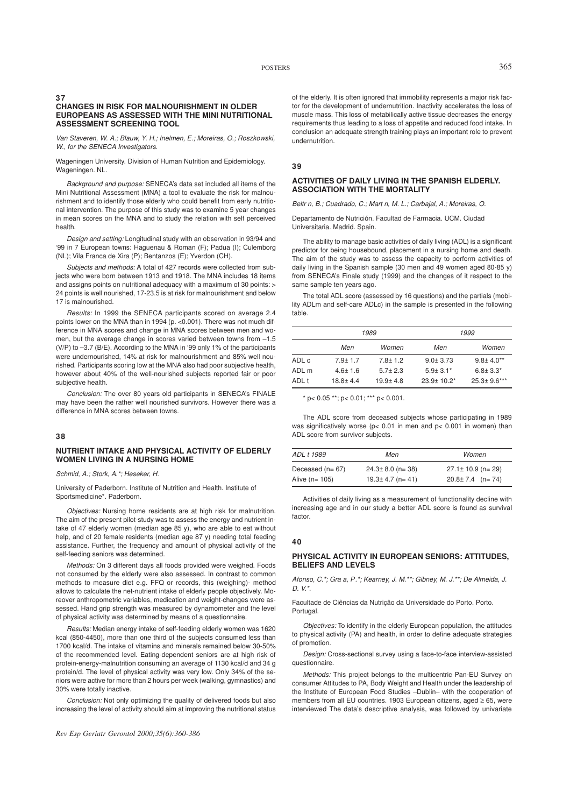#### **37 CHANGES IN RISK FOR MALNOURISHMENT IN OLDER EUROPEANS AS ASSESSED WITH THE MINI NUTRITIONAL ASSESSMENT SCREENING TOOL**

*Van Staveren, W. A.; Blauw, Y. H.; Inelmen, E.; Moreiras, O.; Roszkowski, W., for the SENECA Investigators.*

Wageningen University. Division of Human Nutrition and Epidemiology. Wageningen. NL.

*Background and purpose:* SENECA's data set included all items of the Mini Nutritional Assessment (MNA) a tool to evaluate the risk for malnourishment and to identify those elderly who could benefit from early nutritional intervention. The purpose of this study was to examine 5 year changes in mean scores on the MNA and to study the relation with self perceived health.

*Design and setting:* Longitudinal study with an observation in 93/94 and '99 in 7 European towns: Haguenau & Roman (F); Padua (I); Culemborg (NL); Vila Franca de Xira (P); Bentanzos (E); Yverdon (CH).

*Subjects and methods:* A total of 427 records were collected from subjects who were born between 1913 and 1918. The MNA includes 18 items and assigns points on nutritional adequacy with a maximum of 30 points: > 24 points is well nourished, 17-23.5 is at risk for malnourishment and below 17 is malnourished.

*Results:* In 1999 the SENECA participants scored on average 2.4 points lower on the MNA than in 1994 (p. < 0.001). There was not much difference in MNA scores and change in MNA scores between men and women, but the average change in scores varied between towns from –1.5 (V/P) to –3.7 (B/E). According to the MNA in '99 only 1% of the participants were undernourished, 14% at risk for malnourishment and 85% well nourished. Participants scoring low at the MNA also had poor subjective health, however about 40% of the well-nourished subjects reported fair or poor subjective health.

*Conclusion:* The over 80 years old participants in SENECA's FINALE may have been the rather well nourished survivors. However there was a difference in MNA scores between towns.

# **38**

# **NUTRIENT INTAKE AND PHYSICAL ACTIVITY OF ELDERLY WOMEN LIVING IN A NURSING HOME**

*Schmid, A.; Stork, A.\*; Heseker, H.*

University of Paderborn. Institute of Nutrition and Health. Institute of Sportsmedicine\*. Paderborn.

*Objectives:* Nursing home residents are at high risk for malnutrition. The aim of the present pilot-study was to assess the energy and nutrient intake of 47 elderly women (median age 85 y), who are able to eat without help, and of 20 female residents (median age 87 y) needing total feeding assistance. Further, the frequency and amount of physical activity of the self-feeding seniors was determined.

*Methods:* On 3 different days all foods provided were weighed. Foods not consumed by the elderly were also assessed. In contrast to common methods to measure diet e.g. FFQ or records, this (weighing)- method allows to calculate the net-nutrient intake of elderly people objectively. Moreover anthropometric variables, medication and weight-changes were assessed. Hand grip strength was measured by dynamometer and the level of physical activity was determined by means of a questionnaire.

*Results:* Median energy intake of self-feeding elderly women was 1620 kcal (850-4450), more than one third of the subjects consumed less than 1700 kcal/d. The intake of vitamins and minerals remained below 30-50% of the recommended level. Eating-dependent seniors are at high risk of protein-energy-malnutrition consuming an average of 1130 kcal/d and 34 g protein/d. The level of physical activity was very low. Only 34% of the seniors were active for more than 2 hours per week (walking, gymnastics) and 30% were totally inactive.

*Conclusion:* Not only optimizing the quality of delivered foods but also increasing the level of activity should aim at improving the nutritional status

of the elderly. It is often ignored that immobility represents a major risk factor for the development of undernutrition. Inactivity accelerates the loss of muscle mass. This loss of metabilically active tissue decreases the energy requirements thus leading to a loss of appetite and reduced food intake. In conclusion an adequate strength training plays an important role to prevent undernutrition.

#### **39**

# **ACTIVITIES OF DAILY LIVING IN THE SPANISH ELDERLY. ASSOCIATION WITH THE MORTALITY**

*Beltrn, B.; Cuadrado, C.; Martn, M. L.; Carbajal, A.; Moreiras, O.*

Departamento de Nutrición. Facultad de Farmacia. UCM. Ciudad Universitaria. Madrid. Spain.

The ability to manage basic activities of daily living (ADL) is a significant predictor for being housebound, placement in a nursing home and death. The aim of the study was to assess the capacity to perform activities of daily living in the Spanish sample (30 men and 49 women aged 80-85 y) from SENECA's Finale study (1999) and the changes of it respect to the same sample ten years ago.

The total ADL score (assessed by 16 questions) and the partials (mobility ADLm and self-care ADLc) in the sample is presented in the following table.

|       |              | 1989         | 1999           |                   |  |
|-------|--------------|--------------|----------------|-------------------|--|
|       | Men          | Women        | Men            | Women             |  |
| ADL c | $7.9 + 1.7$  | $7.8 + 1.2$  | $9.0 + 3.73$   | $9.8 \pm 4.0**$   |  |
| ADI m | $4.6 + 1.6$  | $5.7 + 2.3$  | $5.9 + 3.1*$   | $6.8 + 3.3*$      |  |
| ADL t | $18.8 + 4.4$ | $19.9 + 4.8$ | $23.9 + 10.2*$ | $25.3 \pm 9.6***$ |  |

 $*$  p< 0.05 \*\*; p< 0.01; \*\*\* p< 0.001.

The ADL score from deceased subjects whose participating in 1989 was significatively worse (p< 0.01 in men and p< 0.001 in women) than ADL score from survivor subjects.

| ADL t 1989<br>Men |                        | Women                   |  |
|-------------------|------------------------|-------------------------|--|
| Deceased $(n=67)$ | $24.3 \pm 8.0$ (n= 38) | $27.1 \pm 10.9$ (n= 29) |  |
| Alive $(n=105)$   | $19.3 \pm 4.7$ (n= 41) | $20.8 \pm 7.4$ (n= 74)  |  |

Activities of daily living as a measurement of functionality decline with increasing age and in our study a better ADL score is found as survival factor.

#### **40**

#### **PHYSICAL ACTIVITY IN EUROPEAN SENIORS: ATTITUDES, BELIEFS AND LEVELS**

*Afonso, C.\*; Graa, P.\*; Kearney, J. M.\*\*; Gibney, M. J.\*\*; De Almeida, J. D. V.\*.*

Facultade de Ciências da Nutriçâo da Universidade do Porto. Porto. Portugal.

*Objectives:* To identify in the elderly European population, the attitudes to physical activity (PA) and health, in order to define adequate strategies of promotion.

*Design:* Cross-sectional survey using a face-to-face interview-assisted questionnaire.

*Methods:* This project belongs to the multicentric Pan-EU Survey on consumer Attitudes to PA, Body Weight and Health under the leadership of the Institute of European Food Studies –Dublin– with the cooperation of members from all EU countries. 1903 European citizens, aged ≥ 65, were interviewed The data's descriptive analysis, was followed by univariate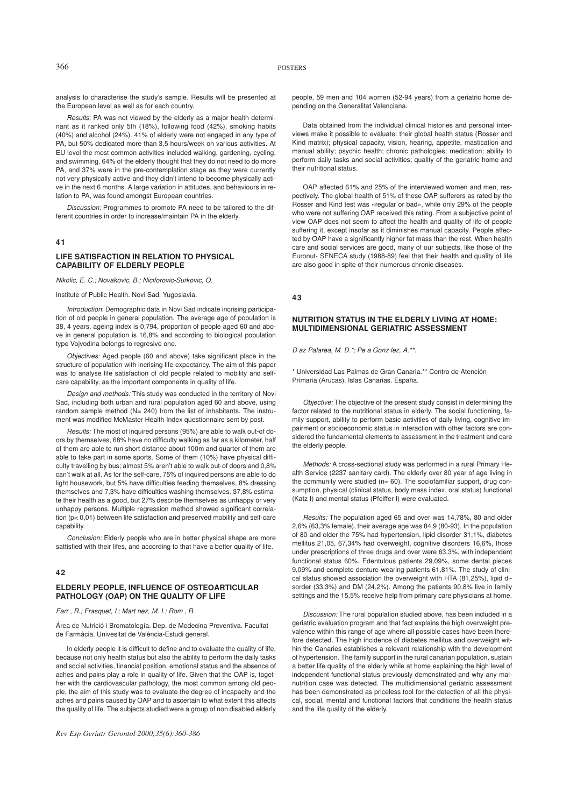# 366 POSTERS

analysis to characterise the study's sample. Results will be presented at the European level as well as for each country.

*Results:* PA was not viewed by the elderly as a major health determinant as it ranked only 5th (18%), following food (42%), smoking habits (40%) and alcohol (24%). 41% of elderly were not engaged in any type of PA, but 50% dedicated more than 3,5 hours/week on various activities. At EU level the most common activities included walking, gardening, cycling, and swimming. 64% of the elderly thought that they do not need to do more PA, and 37% were in the pre-contemplation stage as they were currently not very physically active and they didn't intend to become physically active in the next 6 months. A large variation in attitudes, and behaviours in relation to PA, was found amongst European countries.

*Discussion:* Programmes to promote PA need to be tailored to the different countries in order to increase/maintain PA in the elderly.

#### **41**

# **LIFE SATISFACTION IN RELATION TO PHYSICAL CAPABILITY OF ELDERLY PEOPLE**

*Nikolic, E. C.; Novakovic, B.; Niciforovic-Surkovic, O.*

Institute of Public Health. Novi Sad. Yugoslavia.

*Introduction*: Demographic data in Novi Sad indicate incrising participation of old people in general population. The average age of population is 38, 4 years, ageing index is 0,794, proportion of people aged 60 and above in general population is 16,8% and according to biological population type Vojvodina belongs to regresive one.

*Objectives:* Aged people (60 and above) take significant place in the structure of population with incrising life expectancy. The aim of this paper was to analyse life satisfaction of old people related to mobility and selfcare capability, as the important components in quality of life.

*Design and methods:* This study was conducted in the territory of Novi Sad, including both urban and rural population aged 60 and above, using random sample method (N= 240) from the list of inhabitants. The instrument was modified McMaster Health Index questionnaire sent by post.

*Results:* The most of inquired persons (95%) are able to walk out-of doors by themselves, 68% have no difficulty walking as far as a kilometer, half of them are able to run short distance about 100m and quarter of them are able to take part in some sports. Some of them (10%) have physical difficulty travelling by bus; almost 5% aren't able to walk out-of doors and 0,8% can't walk at all. As for the self-care, 75% of inquired persons are able to do light housework, but 5% have difficulties feeding themselves, 8% dressing themselves and 7,3% have difficulties washing themselves. 37,8% estimate their health as a good, but 27% describe themselves as unhappy or very unhappy persons. Multiple regression method showed significant correlation (p< 0,01) between life satisfaction and preserved mobility and self-care capability.

*Conclusion:* Elderly people who are in better physical shape are more sattisfied with their lifes, and according to that have a better quality of life.

# **42**

# **ELDERLY PEOPLE, INFLUENCE OF OSTEOARTICULAR PATHOLOGY (OAP) ON THE QUALITY OF LIFE**

#### *Farr, R.; Frasquet, I.; Martnez, M. I.; Rom, R.*

Área de Nutrició i Bromatología. Dep. de Medecina Preventiva. Facultat de Farmàcia. Univesitat de València-Estudi general.

In elderly people it is difficult to define and to evaluate the quality of life, because not only health status but also the ability to perform the daily tasks and social activities, financial position, emotional status and the absence of aches and pains play a role in quality of life. Given that the OAP is, together with the cardiovascular pathology, the most common among old people, the aim of this study was to evaluate the degree of incapacity and the aches and pains caused by OAP and to ascertain to what extent this affects the quality of life. The subjects studied were a group of non disabled elderly

people, 59 men and 104 women (52-94 years) from a geriatric home depending on the Generalitat Valenciana.

Data obtained from the individual clinical histories and personal interviews make it possible to evaluate: their global health status (Rosser and Kind matrix); physical capacity, vision, hearing, appetite, mastication and manual ability; psychic health; chronic pathologies; medication; ability to perform daily tasks and social activities; quality of the geriatric home and their nutritional status.

OAP affected 61% and 25% of the interviewed women and men, respectively. The global health of 51% of these OAP sufferers as rated by the Rosser and Kind test was «regular or bad», while only 29% of the people who were not suffering OAP received this rating. From a subjective point of view OAP does not seem to affect the health and quality of life of people suffering it, except insofar as it diminishes manual capacity. People affected by OAP have a significantly higher fat mass than the rest. When health care and social services are good, many of our subjects, like those of the Euronut- SENECA study (1988-89) feel that their health and quality of life are also good in spite of their numerous chronic diseases.

**43**

#### **NUTRITION STATUS IN THE ELDERLY LIVING AT HOME: MULTIDIMENSIONAL GERIATRIC ASSESSMENT**

*Daz Palarea, M. D.\*; Pea Gonzlez, A.\*\*.*

\* Universidad Las Palmas de Gran Canaria.\*\* Centro de Atención Primaria (Arucas). Islas Canarias. España.

*Objective:* The objective of the present study consist in determining the factor related to the nutritional status in elderly. The social functioning, family support, ability to perform basic activities of daily living, cognitive impairment or socioeconomic status in interaction with other factors are considered the fundamental elements to assessment in the treatment and care the elderly people.

*Methods:* A cross-sectional study was performed in a rural Primary Health Service (2237 sanitary card). The elderly over 80 year of age living in the community were studied ( $n= 60$ ). The sociofamiliar support, drug consumption, physical (clinical status, body mass index, oral status) functional (Katz I) and mental status (Pfeiffer I) were evaluated.

*Results:* The population aged 65 and over was 14,78%, 80 and older 2,6% (63,3% female), their average age was 84,9 (80-93). In the population of 80 and older the 75% had hypertension, lipid disorder 31,1%, diabetes mellitus 21,05, 67,34% had overweight, cognitive disorders 16,6%, those under prescriptions of three drugs and over were 63,3%, with independent functional status 60%. Edentulous patients 29,09%, some dental pieces 9,09% and complete denture-wearing patients 61,81%. The study of clinical status showed association the overweight with HTA (81,25%), lipid disorder (33,3%) and DM (24,2%). Among the patients 90,8% live in family settings and the 15,5% receive help from primary care physicians at home.

*Discussion:* The rural population studied above, has been included in a geriatric evaluation program and that fact explains the high overweight prevalence within this range of age where all possible cases have been therefore detected. The high incidence of diabetes mellitus and overweight within the Canaries establishes a relevant relationship with the development of hypertension. The family support in the rural canarian population, sustain a better life quality of the elderly while at home explaining the high level of independent functional status previously demonstrated and why any malnutrition case was detected. The multidimensional geriatric assessment has been demonstrated as priceless tool for the detection of all the physical, social, mental and functional factors that conditions the health status and the life quality of the elderly.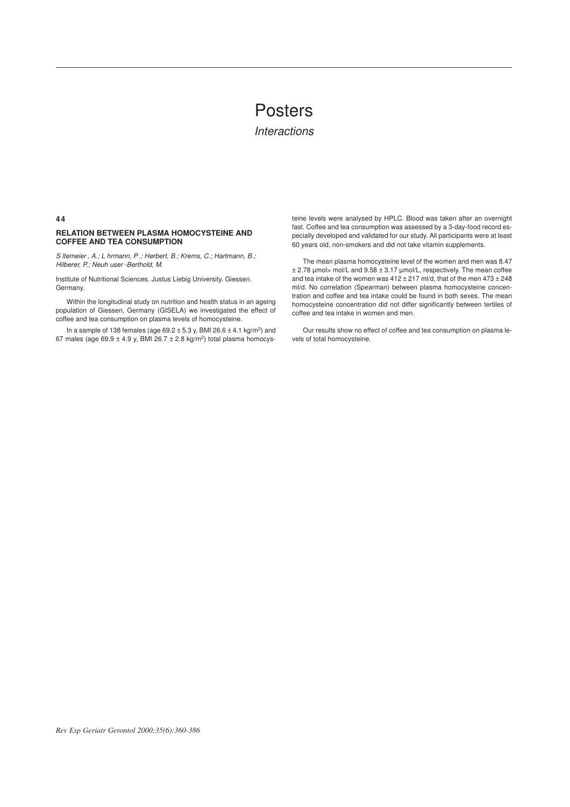# Posters

*Interactions*

**44**

# **RELATION BETWEEN PLASMA HOMOCYSTEINE AND COFFEE AND TEA CONSUMPTION**

*Sltemeier , A.; Lhrmann, P .; Herbert, B.; Krems, C.; Hartmann, B.; Hilberer, P.; Neuh user -Berthold, M.* 

Institute of Nutritional Sciences. Justus Liebig University. Giessen. Germany.

Within the longitudinal study on nutrition and health status in an ageing population of Giessen, Germany (GISELA) we investigated the effect of coffee and tea consumption on plasma levels of homocysteine.

In a sample of 138 females (age  $69.2 \pm 5.3$  y, BMI 26.6  $\pm$  4.1 kg/m<sup>2</sup>) and 67 males (age  $69.9 \pm 4.9$  y, BMI 26.7  $\pm$  2.8 kg/m<sup>2</sup>) total plasma homocysteine levels were analysed by HPLC. Blood was taken after an overnight fast. Coffee and tea consumption was assessed by a 3-day-food record especially developed and validated for our study. All participants were at least 60 years old, non-smokers and did not take vitamin supplements.

The mean plasma homocysteine level of the women and men was 8.47 ± 2.78 µmol> mol/L and 9.58 ± 3.17 µmol/L, respectively. The mean coffee and tea intake of the women was  $412 \pm 217$  ml/d, that of the men  $473 \pm 248$ ml/d. No correlation (Spearman) between plasma homocysteine concentration and coffee and tea intake could be found in both sexes. The mean homocysteine concentration did not differ significantly between tertiles of coffee and tea intake in women and men.

Our results show no effect of coffee and tea consumption on plasma levels of total homocysteine.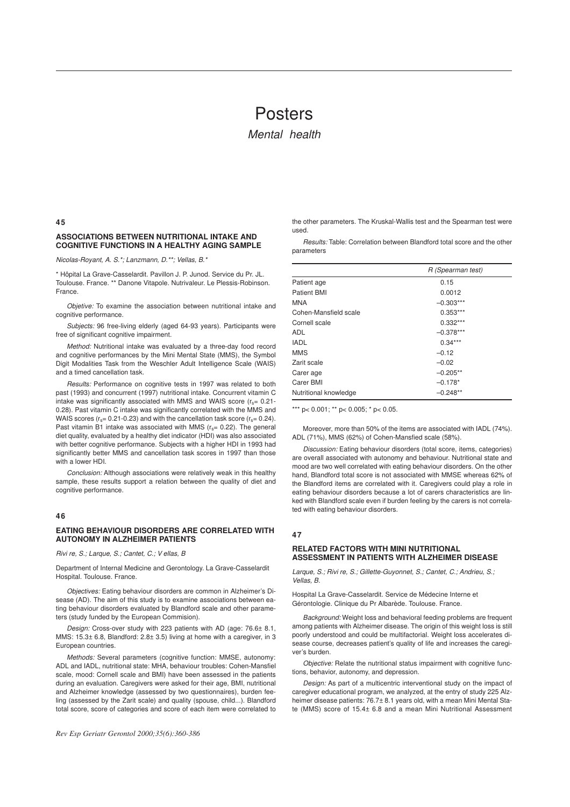# Posters

*Mental health*

#### **45**

# **ASSOCIATIONS BETWEEN NUTRITIONAL INTAKE AND COGNITIVE FUNCTIONS IN A HEALTHY AGING SAMPLE**

*Nicolas-Royant, A. S.\*; Lanzmann, D.\*\*; Vellas, B.\**

\* Hôpital La Grave-Casselardit. Pavillon J. P. Junod. Service du Pr. JL. Toulouse. France. \*\* Danone Vitapole. Nutrivaleur. Le Plessis-Robinson. France.

*Objetive:* To examine the association between nutritional intake and cognitive performance.

*Subjects:* 96 free-living elderly (aged 64-93 years). Participants were free of significant cognitive impairment.

*Method:* Nutritional intake was evaluated by a three-day food record and cognitive performances by the Mini Mental State (MMS), the Symbol Digit Modalities Task from the Weschler Adult Intelligence Scale (WAIS) and a timed cancellation task.

*Results:* Performance on cognitive tests in 1997 was related to both past (1993) and concurrent (1997) nutritional intake. Concurrent vitamin C intake was significantly associated with MMS and WAIS score  $(r_s= 0.21$ -0.28). Past vitamin C intake was significantly correlated with the MMS and WAIS scores ( $r_s$ = 0.21-0.23) and with the cancellation task score ( $r_s$ = 0.24). Past vitamin B1 intake was associated with MMS ( $r_s$ = 0.22). The general diet quality, evaluated by a healthy diet indicator (HDI) was also associated with better cognitive performance. Subjects with a higher HDI in 1993 had significantly better MMS and cancellation task scores in 1997 than those with a lower HDI.

*Conclusion:* Although associations were relatively weak in this healthy sample, these results support a relation between the quality of diet and cognitive performance.

# **46**

# **EATING BEHAVIOUR DISORDERS ARE CORRELATED WITH AUTONOMY IN ALZHEIMER PATIENTS**

*Rivire, S.; Larque, S.; Cantet, C.; V ellas, B*

Department of Internal Medicine and Gerontology. La Grave-Casselardit Hospital. Toulouse. France.

*Objectives:* Eating behaviour disorders are common in Alzheimer's Disease (AD). The aim of this study is to examine associations between eating behaviour disorders evaluated by Blandford scale and other parameters (study funded by the European Commision).

*Design:* Cross-over study with 223 patients with AD (age: 76.6± 8.1, MMS: 15.3± 6.8, Blandford: 2.8± 3.5) living at home with a caregiver, in 3 European countries.

*Methods:* Several parameters (cognitive function: MMSE, autonomy: ADL and IADL, nutritional state: MHA, behaviour troubles: Cohen-Mansfiel scale, mood: Cornell scale and BMI) have been assessed in the patients during an evaluation. Caregivers were asked for their age, BMI, nutritional and Alzheimer knowledge (assessed by two questionnaires), burden fee- $\lim_{h \to 0}$  (assessed by the Zarit scale) and quality (spouse, child....). Blandford total score, score of categories and score of each item were correlated to

the other parameters. The Kruskal-Wallis test and the Spearman test were used.

*Results:* Table: Correlation between Blandford total score and the other parameters

| R (Spearman test) |
|-------------------|
| 0.15              |
| 0.0012            |
| $-0.303***$       |
| $0.353***$        |
| $0.332***$        |
| $-0.378***$       |
| $0.34***$         |
| $-0.12$           |
| $-0.02$           |
| $-0.205**$        |
| $-0.178*$         |
| $-0.248**$        |
|                   |

\*\*\*  $p$  < 0.001; \*\*  $p$  < 0.005; \*  $p$  < 0.05.

Moreover, more than 50% of the items are associated with IADL (74%). ADL (71%), MMS (62%) of Cohen-Mansfied scale (58%).

*Discussion:* Eating behaviour disorders (total score, items, categories) are overall associated with autonomy and behaviour. Nutritional state and mood are two well correlated with eating behaviour disorders. On the other hand, Blandford total score is not associated with MMSE whereas 62% of the Blandford items are correlated with it. Caregivers could play a role in eating behaviour disorders because a lot of carers characteristics are linked with Blandford scale even if burden feeling by the carers is not correlated with eating behaviour disorders.

# **47**

# **RELATED FACTORS WITH MINI NUTRITIONAL ASSESSMENT IN PATIENTS WITH ALZHEIMER DISEASE**

Larque, S.; Rivi re, S.; Gillette-Guyonnet, S.; Cantet, C.; Andrieu, S.; *Vellas, B.*

Hospital La Grave-Casselardit. Service de Médecine Interne et Gérontologie. Clinique du Pr Albarède. Toulouse. France.

*Background:* Weight loss and behavioral feeding problems are frequent among patients with Alzheimer disease. The origin of this weight loss is still poorly understood and could be multifactorial. Weight loss accelerates disease course, decreases patient's quality of life and increases the caregiver's burden.

*Objective:* Relate the nutritional status impairment with cognitive functions, behavior, autonomy, and depression.

*Design:* As part of a multicentric interventional study on the impact of caregiver educational program, we analyzed, at the entry of study 225 Alzheimer disease patients: 76.7± 8.1 years old, with a mean Mini Mental State (MMS) score of 15.4± 6.8 and a mean Mini Nutritional Assessment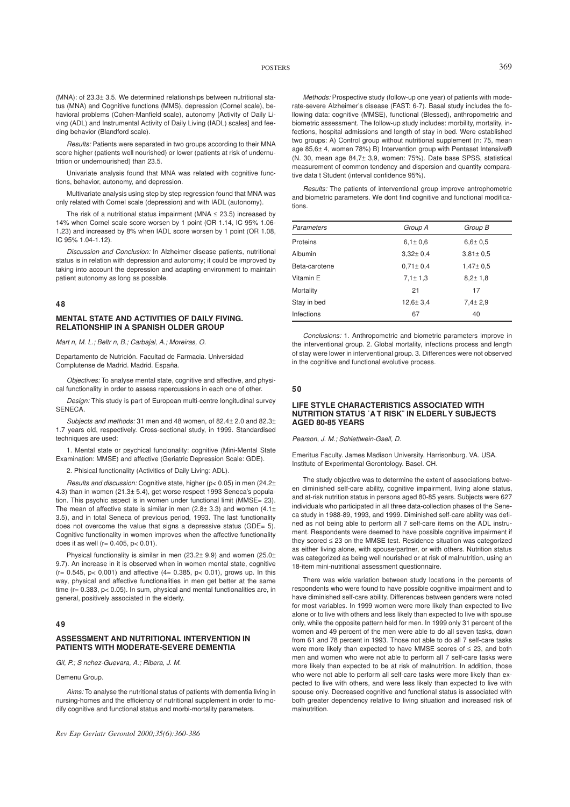(MNA): of 23.3± 3.5. We determined relationships between nutritional status (MNA) and Cognitive functions (MMS), depression (Cornel scale), behavioral problems (Cohen-Manfield scale), autonomy [Activity of Daily Living (ADL) and Instrumental Activity of Daily Living (IADL) scales] and feeding behavior (Blandford scale).

*Results:* Patients were separated in two groups according to their MNA score higher (patients well nourished) or lower (patients at risk of undernutrition or undernourished) than 23.5.

Univariate analysis found that MNA was related with cognitive functions, behavior, autonomy, and depression.

Multivariate analysis using step by step regression found that MNA was only related with Cornel scale (depression) and with IADL (autonomy).

The risk of a nutritional status impairment (MNA  $\leq$  23.5) increased by 14% when Cornel scale score worsen by 1 point (OR 1.14, IC 95% 1.06- 1.23) and increased by 8% when IADL score worsen by 1 point (OR 1.08, IC 95% 1.04-1.12).

*Discussion and Conclusion:* In Alzheimer disease patients, nutritional status is in relation with depression and autonomy; it could be improved by taking into account the depression and adapting environment to maintain patient autonomy as long as possible.

#### **48**

# **MENTAL STATE AND ACTIVITIES OF DAILY FIVING. RELATIONSHIP IN A SPANISH OLDER GROUP**

*Martn, M. L.; Beltrn, B.; Carbajal, A.; Moreiras, O.*

Departamento de Nutrición. Facultad de Farmacia. Universidad Complutense de Madrid. Madrid. España.

*Objectives:* To analyse mental state, cognitive and affective, and physical functionality in order to assess repercussions in each one of other.

*Design:* This study is part of European multi-centre longitudinal survey **SENECA** 

*Subjects and methods:* 31 men and 48 women, of 82.4± 2.0 and 82.3± 1.7 years old, respectively. Cross-sectional study, in 1999. Standardised techniques are used:

1. Mental state or psychical funcionality: cognitive (Mini-Mental State Examination: MMSE) and affective (Geriatric Depression Scale: GDE).

2. Phisical functionality (Activities of Daily Living: ADL).

*Results and discussion:* Cognitive state, higher (p< 0.05) in men (24.2± 4.3) than in women (21.3± 5.4), get worse respect 1993 Seneca's population. This psychic aspect is in women under functional limit (MMSE= 23). The mean of affective state is similar in men (2.8 $\pm$  3.3) and women (4.1 $\pm$ 3.5), and in total Seneca of previous period, 1993. The last functionality does not overcome the value that signs a depressive status (GDE= 5). Cognitive functionality in women improves when the affective functionality does it as well ( $r = 0.405$ ,  $p < 0.01$ ).

Physical functionality is similar in men (23.2± 9.9) and women (25.0± 9.7). An increase in it is observed when in women mental state, cognitive  $(r= 0.545, p < 0.001)$  and affective  $(4 = 0.385, p < 0.01)$ , grows up. In this way, physical and affective functionalities in men get better at the same time (r= 0.383, p< 0.05). In sum, physical and mental functionalities are, in general, positively associated in the elderly.

# **49**

# **ASSESSMENT AND NUTRITIONAL INTERVENTION IN PATIENTS WITH MODERATE-SEVERE DEMENTIA**

*Gil, P.; Snchez-Guevara, A.; Ribera, J. M.*

Demenu Group.

*Aims:* To analyse the nutritional status of patients with dementia living in nursing-homes and the efficiency of nutritional supplement in order to modify cognitive and functional status and morbi-mortality parameters.

*Rev Esp Geriatr Gerontol 2000;35(6):360-386*

*Methods:* Prospective study (follow-up one year) of patients with moderate-severe Alzheimer's disease (FAST: 6-7). Basal study includes the following data: cognitive (MMSE), functional (Blessed), anthropometric and biometric assessment. The follow-up study includes: morbility, mortality, infections, hospital admissions and length of stay in bed. Were established two groups: A) Control group without nutritional supplement (n: 75, mean age 85,6± 4, women 78%) B) Intervention group with Pentaset Intensive® (N. 30, mean age 84,7± 3,9, women: 75%). Date base SPSS, statistical measurement of common tendency and dispersion and quantity comparative data t Student (interval confidence 95%).

*Results:* The patients of interventional group improve antrophometric and biometric parameters. We dont find cognitive and functional modifications.

| Parameters    | Group A        | Group B        |  |
|---------------|----------------|----------------|--|
| Proteins      | $6.1 \pm 0.6$  | $6.6 \pm 0.5$  |  |
| Albumin       | $3.32 \pm 0.4$ | $3.81 \pm 0.5$ |  |
| Beta-carotene | $0.71 \pm 0.4$ | $1,47 \pm 0.5$ |  |
| Vitamin E     | $7.1 \pm 1.3$  | $8.2 \pm 1.8$  |  |
| Mortality     | 21             | 17             |  |
| Stay in bed   | $12.6 \pm 3.4$ | $7.4 \pm 2.9$  |  |
| Infections    | 67             | 40             |  |
|               |                |                |  |

*Conclusions:* 1. Anthropometric and biometric parameters improve in the interventional group. 2. Global mortality, infections process and length of stay were lower in interventional group. 3. Differences were not observed in the cognitive and functional evolutive process.

#### **50**

#### **LIFE STYLE CHARACTERISTICS ASSOCIATED WITH NUTRITION STATUS ˙A T RISK¨ IN ELDERLY SUBJECTS AGED 80-85 YEARS**

*Pearson, J. M.; Schlettwein-Gsell, D.*

Emeritus Faculty. James Madison University. Harrisonburg. VA. USA. Institute of Experimental Gerontology. Basel. CH.

The study objective was to determine the extent of associations between diminished self-care ability, cognitive impairment, living alone status, and at-risk nutrition status in persons aged 80-85 years. Subjects were 627 individuals who participated in all three data-collection phases of the Seneca study in 1988-89, 1993, and 1999. Diminished self-care ability was defined as not being able to perform all 7 self-care items on the ADL instrument. Respondents were deemed to have possible cognitive impairment if they scored ≤ 23 on the MMSE test. Residence situation was categorized as either living alone, with spouse/partner, or with others. Nutrition status was categorized as being well nourished or at risk of malnutrition, using an 18-item mini-nutritional assessment questionnaire.

There was wide variation between study locations in the percents of respondents who were found to have possible cognitive impairment and to have diminished self-care ability. Differences between genders were noted for most variables. In 1999 women were more likely than expected to live alone or to live with others and less likely than expected to live with spouse only, while the opposite pattern held for men. In 1999 only 31 percent of the women and 49 percent of the men were able to do all seven tasks, down from 61 and 78 percent in 1993. Those not able to do all 7 self-care tasks were more likely than expected to have MMSE scores of ≤ 23, and both men and women who were not able to perform all 7 self-care tasks were more likely than expected to be at risk of malnutrition. In addition, those who were not able to perform all self-care tasks were more likely than expected to live with others, and were less likely than expected to live with spouse only. Decreased cognitive and functional status is associated with both greater dependency relative to living situation and increased risk of malnutrition.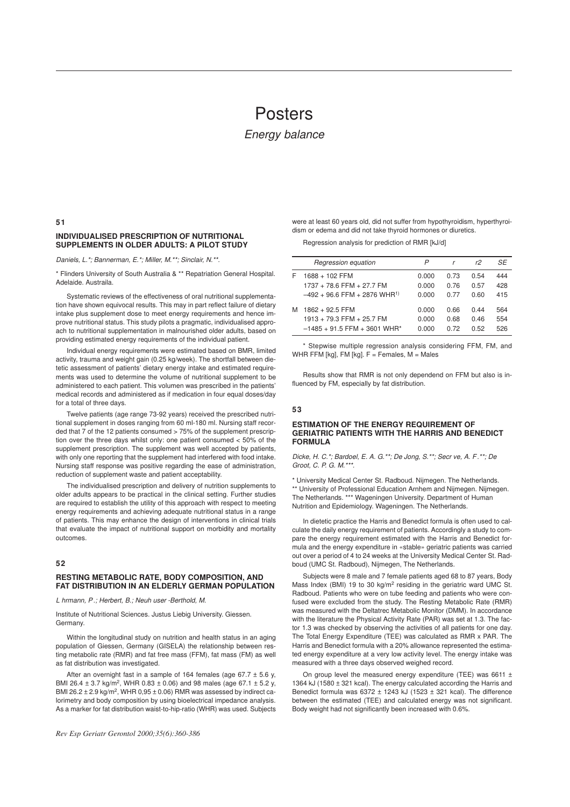# Posters

# *Energy balance*

#### **51**

# **INDIVIDUALISED PRESCRIPTION OF NUTRITIONAL SUPPLEMENTS IN OLDER ADULTS: A PILOT STUDY**

*Daniels, L.\*; Bannerman, E.\*; Miller, M.\*\*; Sinclair, N.\*\*.*

\* Flinders University of South Australia & \*\* Repatriation General Hospital. Adelaide. Austraila.

Systematic reviews of the effectiveness of oral nutritional supplementation have shown equivocal results. This may in part reflect failure of dietary intake plus supplement dose to meet energy requirements and hence improve nutritional status. This study pilots a pragmatic, individualised approach to nutritional supplementation in malnourished older adults, based on providing estimated energy requirements of the individual patient.

Individual energy requirements were estimated based on BMR, limited activity, trauma and weight gain (0.25 kg/week). The shortfall between dietetic assessment of patients' dietary energy intake and estimated requirements was used to determine the volume of nutritional supplement to be administered to each patient. This volumen was prescribed in the patients' medical records and administered as if medication in four equal doses/day for a total of three days.

Twelve patients (age range 73-92 years) received the prescribed nutritional supplement in doses ranging from 60 ml-180 ml. Nursing staff recorded that 7 of the 12 patients consumed > 75% of the supplement prescription over the three days whilst only: one patient consumed < 50% of the supplement prescription. The supplement was well accepted by patients, with only one reporting that the supplement had interfered with food intake. Nursing staff response was positive regarding the ease of administration, reduction of supplement waste and patient acceptability.

The individualised prescription and delivery of nutrition supplements to older adults appears to be practical in the clinical setting. Further studies are required to establish the utility of this approach with respect to meeting energy requirements and achieving adequate nutritional status in a range of patients. This may enhance the design of interventions in clinical trials that evaluate the impact of nutritional support on morbidity and mortality outcomes.

# **52**

# **RESTING METABOLIC RATE, BODY COMPOSITION, AND FAT DISTRIBUTION IN AN ELDERLY GERMAN POPULATION**

*Lhrmann, P .; Herbert, B.; Neuhuser -Berthold, M.*

Institute of Nutritional Sciences. Justus Liebig University. Giessen. Germany.

Within the longitudinal study on nutrition and health status in an aging population of Giessen, Germany (GISELA) the relationship between resting metabolic rate (RMR) and fat free mass (FFM), fat mass (FM) as well as fat distribution was investigated.

After an overnight fast in a sample of 164 females (age 67.7  $\pm$  5.6 y, BMI 26.4  $\pm$  3.7 kg/m<sup>2</sup>, WHR 0.83  $\pm$  0.06) and 98 males (age 67.1  $\pm$  5.2 y, BMI 26.2  $\pm$  2.9 kg/m<sup>2</sup>, WHR 0,95  $\pm$  0.06) RMR was assessed by indirect calorimetry and body composition by using bioelectrical impedance analysis. As a marker for fat distribution waist-to-hip-ratio (WHR) was used. Subjects

*Rev Esp Geriatr Gerontol 2000;35(6):360-386*

were at least 60 years old, did not suffer from hypothyroidism, hyperthyroidism or edema and did not take thyroid hormones or diuretics.

Regression analysis for prediction of RMR [kJ/d]

|   | Regression equation                        | P     |      | r2   | SE  |
|---|--------------------------------------------|-------|------|------|-----|
| F | 1688 + 102 FFM                             | 0.000 | 0.73 | 0.54 | 444 |
|   | $1737 + 78.6$ FFM + 27.7 FM                | 0.000 | 0.76 | 0.57 | 428 |
|   | $-492 + 96.6$ FFM + 2876 WHR <sup>1)</sup> | 0.000 | 0.77 | 0.60 | 415 |
| M | $1862 + 92.5$ FFM                          | 0.000 | 0.66 | 0.44 | 564 |
|   | $1913 + 79.3$ FFM + 25.7 FM                | 0.000 | 0.68 | 0.46 | 554 |
|   | $-1485 + 91.5$ FFM + 3601 WHR*             | 0.000 | 0.72 | 0.52 | 526 |

\* Stepwise multiple regression analysis considering FFM, FM, and WHR FFM [kg], FM [kg]. F = Females, M = Males

Results show that RMR is not only dependend on FFM but also is influenced by FM, especially by fat distribution.

# **53**

#### **ESTIMATION OF THE ENERGY REQUIREMENT OF GERIATRIC PATIENTS WITH THE HARRIS AND BENEDICT FORMULA**

*Dicke, H. C.\*; Bardoel, E. A. G.\*\*; De Jong, S.\*\*; Secrve, A. F .\*\*; De Groot, C. P. G. M.\*\*\*.*

\* University Medical Center St. Radboud. Nijmegen. The Netherlands. \*\* University of Professional Education Arnhem and Nijmegen. Nijmegen. The Netherlands. \*\*\* Wageningen University. Department of Human Nutrition and Epidemiology. Wageningen. The Netherlands.

In dietetic practice the Harris and Benedict formula is often used to calculate the daily energy requirement of patients. Accordingly a study to compare the energy requirement estimated with the Harris and Benedict formula and the energy expenditure in «stable» geriatric patients was carried out over a period of 4 to 24 weeks at the University Medical Center St. Radboud (UMC St. Radboud), Nijmegen, The Netherlands.

Subjects were 8 male and 7 female patients aged 68 to 87 years, Body Mass Index (BMI) 19 to 30 kg/m<sup>2</sup> residing in the geriatric ward UMC St. Radboud. Patients who were on tube feeding and patients who were confused were excluded from the study. The Resting Metabolic Rate (RMR) was measured with the Deltatrec Metabolic Monitor (DMM). In accordance with the literature the Physical Activity Rate (PAR) was set at 1.3. The factor 1.3 was checked by observing the activities of all patients for one day. The Total Energy Expenditure (TEE) was calculated as RMR x PAR. The Harris and Benedict formula with a 20% allowance represented the estimated energy expenditure at a very low activity level. The energy intake was measured with a three days observed weighed record.

On group level the measured energy expenditure (TEE) was 6611  $\pm$ 1364 kJ (1580 ± 321 kcal). The energy calculated according the Harris and Benedict formula was  $6372 \pm 1243$  kJ (1523  $\pm$  321 kcal). The difference between the estimated (TEE) and calculated energy was not significant. Body weight had not significantly been increased with 0.6%.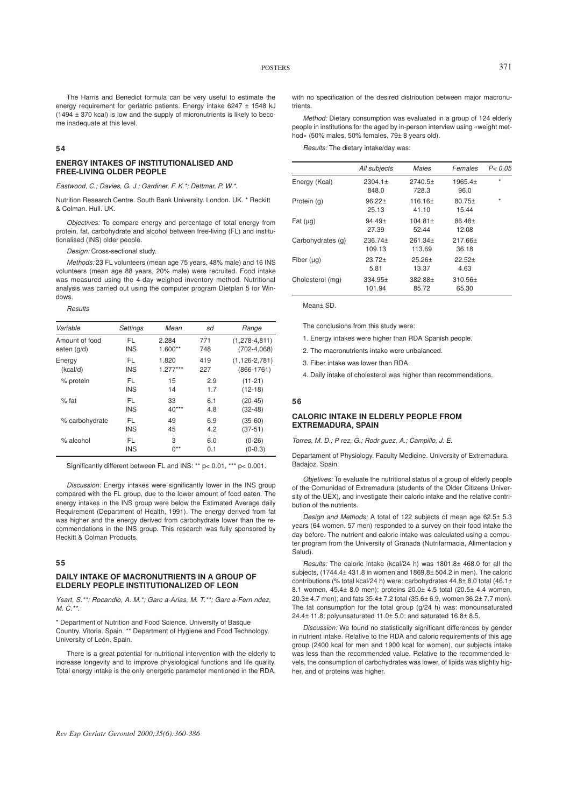The Harris and Benedict formula can be very useful to estimate the energy requirement for geriatric patients. Energy intake 6247 ± 1548 kJ (1494 ± 370 kcal) is low and the supply of micronutrients is likely to become inadequate at this level.

# **54**

#### **ENERGY INTAKES OF INSTITUTIONALISED AND FREE-LIVING OLDER PEOPLE**

*Eastwood, C.; Davies, G. J.; Gardiner, F. K.\*; Dettmar, P. W.\*.*

Nutrition Research Centre. South Bank University. London. UK. \* Reckitt & Colman. Hull. UK.

*Objectives:* To compare energy and percentage of total energy from protein, fat, carbohydrate and alcohol between free-living (FL) and institutionalised (INS) older people.

*Design:* Cross-sectional study.

*Methods:* 23 FL volunteers (mean age 75 years, 48% male) and 16 INS volunteers (mean age 88 years, 20% male) were recruited. Food intake was measured using the 4-day weighed inventory method. Nutritional analysis was carried out using the computer program Dietplan 5 for Windows.

*Results*

| Variable       | Settings   | Mean       | sd  | Range               |
|----------------|------------|------------|-----|---------------------|
| Amount of food | FL         | 2.284      | 771 | $(1, 278 - 4, 811)$ |
| eaten (q/d)    | <b>INS</b> | $1.600**$  | 748 | $(702-4,068)$       |
| Energy         | FL         | 1.820      | 419 | $(1, 126 - 2, 781)$ |
| (kcal/d)       | <b>INS</b> | $1.277***$ | 227 | $(866-1761)$        |
| % protein      | FL         | 15         | 2.9 | $(11-21)$           |
|                | <b>INS</b> | 14         | 1.7 | $(12-18)$           |
| $%$ fat        | FL         | 33         | 6.1 | $(20-45)$           |
|                | <b>INS</b> | $40***$    | 4.8 | $(32-48)$           |
| % carbohydrate | FL.        | 49         | 6.9 | $(35-60)$           |
|                | <b>INS</b> | 45         | 4.2 | $(37-51)$           |
| $%$ alcohol    | FL         | 3          | 6.0 | $(0-26)$            |
|                | <b>INS</b> | $0^{**}$   | 0.1 | $(0-0.3)$           |

Significantly different between FL and INS: \*\* p< 0.01, \*\*\* p< 0.001.

*Discussion:* Energy intakes were significantly lower in the INS group compared with the FL group, due to the lower amount of food eaten. The energy intakes in the INS group were below the Estimated Average daily Requirement (Department of Health, 1991). The energy derived from fat was higher and the energy derived from carbohydrate lower than the recommendations in the INS group. This research was fully sponsored by Reckitt & Colman Products.

# **55**

# **DAILY INTAKE OF MACRONUTRIENTS IN A GROUP OF ELDERLY PEOPLE INSTITUTIONALIZED OF LEON**

*Ysart, S.\*\*; Rocandio, A. M.\*; Garc a-Arias, M. T.\*\*; Garc a-Fern ndez, M. C.\*\*.*

\* Department of Nutrition and Food Science. University of Basque Country. Vitoria. Spain. \*\* Department of Hygiene and Food Technology. University of León. Spain.

There is a great potential for nutritional intervention with the elderly to increase longevity and to improve physiological functions and life quality. Total energy intake is the only energetic parameter mentioned in the RDA,

with no specification of the desired distribution between major macronutrients.

*Method:* Dietary consumption was evaluated in a group of 124 elderly people in institutions for the aged by in-person interview using «weight method» (50% males, 50% females, 79± 8 years old).

*Results:* The dietary intake/day was:

|                   | All subjects        | Males               | Females            | P < 0.05 |
|-------------------|---------------------|---------------------|--------------------|----------|
| Energy (Kcal)     | 2304.1±<br>848.0    | 2740.5±<br>728.3    | 1965.4±<br>96.0    | $\star$  |
| Protein (g)       | $96.22+$<br>25.13   | $116.16+$<br>41.10  | $80.75+$<br>15.44  | $\star$  |
| Fat $(\mu g)$     | $94.49+$<br>27.39   | $104.81 +$<br>52.44 | $86.48 +$<br>12.08 |          |
| Carbohydrates (g) | 236.74+<br>109.13   | $261.34+$<br>113.69 | $217.66+$<br>36.18 |          |
| Fiber $(\mu q)$   | $23.72+$<br>5.81    | $25.26+$<br>13.37   | $22.52+$<br>4.63   |          |
| Cholesterol (mg)  | $334.95+$<br>101.94 | $382.88+$<br>85.72  | 310.56±<br>65.30   |          |

Mean± SD.

The conclusions from this study were:

- 1. Energy intakes were higher than RDA Spanish people.
- 2. The macronutrients intake were unbalanced.
- 3. Fiber intake was lower than RDA.

4. Daily intake of cholesterol was higher than recommendations.

#### **56**

## **CALORIC INTAKE IN ELDERLY PEOPLE FROM EXTREMADURA, SPAIN**

*Torres, M. D.; Prez, G.; Rodrguez, A.; Campillo, J. E.*

Departament of Physiology. Faculty Medicine. University of Extremadura. Badajoz. Spain.

*Objetives:* To evaluate the nutritional status of a group of elderly people of the Comunidad of Extremadura (students of the Older Citizens University of the UEX), and investigate their caloric intake and the relative contribution of the nutrients.

*Design and Methods:* A total of 122 subjects of mean age 62.5± 5.3 years (64 women, 57 men) responded to a survey on their food intake the day before. The nutrient and caloric intake was calculated using a computer program from the University of Granada (Nutrifarmacia, Alimentacion y Salud).

*Results:* The caloric intake (kcal/24 h) was 1801.8± 468.0 for all the subjects, (1744.4± 431.8 in women and 1869.8± 504.2 in men). The caloric contributions (% total kcal/24 h) were: carbohydrates 44.8± 8.0 total (46.1± 8.1 women, 45.4± 8.0 men); proteins 20.0± 4.5 total (20.5± 4.4 women, 20.3± 4.7 men); and fats 35.4± 7.2 total (35.6± 6.9, women 36.2± 7.7 men). The fat consumption for the total group (g/24 h) was: monounsaturated 24.4± 11.8; polyunsaturated 11.0± 5.0; and saturated 16.8± 8.5.

*Discussion:* We found no statistically significant differences by gender in nutrient intake. Relative to the RDA and caloric requirements of this age group (2400 kcal for men and 1900 kcal for women), our subjects intake was less than the recommended value. Relative to the recommended levels, the consumption of carbohydrates was lower, of lipids was slightly higher, and of proteins was higher.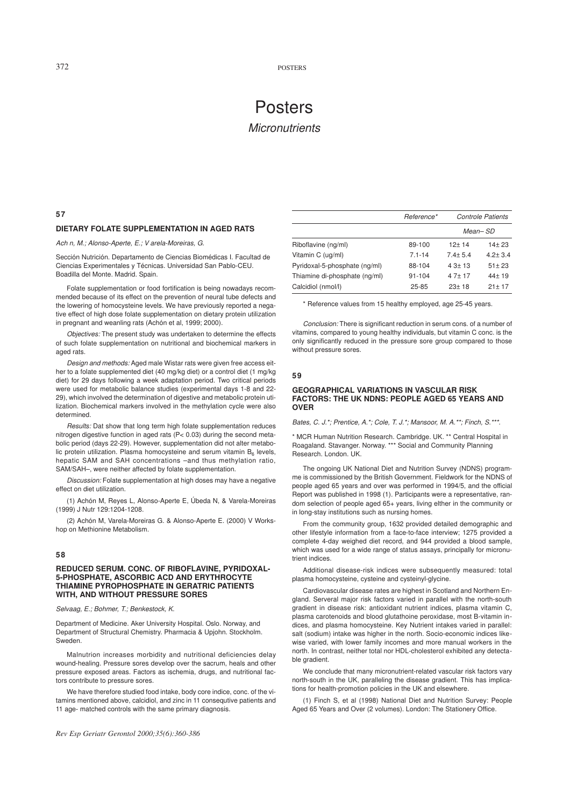# Posters *Micronutrients*

#### **57**

# **DIETARY FOLATE SUPPLEMENTATION IN AGED RATS**

*Achn, M.; Alonso-Aperte, E.; V arela-Moreiras, G.*

Sección Nutrición. Departamento de Ciencias Biomédicas I. Facultad de Ciencias Experimentales y Técnicas. Universidad San Pablo-CEU. Boadilla del Monte. Madrid. Spain.

Folate supplementation or food fortification is being nowadays recommended because of its effect on the prevention of neural tube defects and the lowering of homocysteine levels. We have previously reported a negative effect of high dose folate supplementation on dietary protein utilization in pregnant and weanling rats (Achón et al, 1999; 2000).

*Objectives:* The present study was undertaken to determine the effects of such folate supplementation on nutritional and biochemical markers in aged rats.

*Design and methods:* Aged male Wistar rats were given free access either to a folate supplemented diet (40 mg/kg diet) or a control diet (1 mg/kg diet) for 29 days following a week adaptation period. Two critical periods were used for metabolic balance studies (experimental days 1-8 and 22- 29), which involved the determination of digestive and metabolic protein utilization. Biochemical markers involved in the methylation cycle were also determined.

*Results:* Dat show that long term high folate supplementation reduces nitrogen digestive function in aged rats (P< 0.03) during the second metabolic period (days 22-29). However, supplementation did not alter metabolic protein utilization. Plasma homocysteine and serum vitamin  $B_6$  levels, hepatic SAM and SAH concentrations –and thus methylation ratio, SAM/SAH–, were neither affected by folate supplementation.

*Discussion:* Folate supplementation at high doses may have a negative effect on diet utilization.

(1) Achón M, Reyes L, Alonso-Aperte E, Úbeda N, & Varela-Moreiras (1999) J Nutr 129:1204-1208.

(2) Achón M, Varela-Moreiras G. & Alonso-Aperte E. (2000) V Workshop on Methionine Metabolism.

# **58**

#### **REDUCED SERUM. CONC. OF RIBOFLAVINE, PYRIDOXAL-5-PHOSPHATE, ASCORBIC ACD AND ERYTHROCYTE THIAMINE PYROPHOSPHATE IN GERATRIC PATIENTS WITH, AND WITHOUT PRESSURE SORES**

*Selvaag, E.; Bohmer, T.; Benkestock, K.*

Department of Medicine. Aker University Hospital. Oslo. Norway, and Department of Structural Chemistry. Pharmacia & Upjohn. Stockholm. Sweden.

Malnutrion increases morbidity and nutritional deficiencies delay wound-healing. Pressure sores develop over the sacrum, heals and other pressure exposed areas. Factors as ischemia, drugs, and nutritional factors contribute to pressure sores.

We have therefore studied food intake, body core indice, conc. of the vitamins mentioned above, calcidiol, and zinc in 11 consequtive patients and 11 age- matched controls with the same primary diagnosis.

|                               | <b>Controle Patients</b><br>Reference* |             |             |
|-------------------------------|----------------------------------------|-------------|-------------|
|                               |                                        |             | Mean–SD     |
| Riboflavine (ng/ml)           | 89-100                                 | $12+14$     | $14+23$     |
| Vitamin C (ug/ml)             | $7.1 - 14$                             | $7.4 + 5.4$ | $4.2 + 3.4$ |
| Pyridoxal-5-phosphate (ng/ml) | 88-104                                 | $4.3 + 13$  | $51 + 23$   |
| Thiamine di-phosphate (ng/ml) | $91 - 104$                             | $47+17$     | $44+19$     |
| Calcidiol (nmol/l)            | $25 - 85$                              | $23+18$     | $21 + 17$   |

\* Reference values from 15 healthy employed, age 25-45 years.

*Conclusion:* There is significant reduction in serum cons. of a number of vitamins, compared to young healthy individuals, but vitamin C conc. is the only significantly reduced in the pressure sore group compared to those without pressure sores.

#### **59**

## **GEOGRAPHICAL VARIATIONS IN VASCULAR RISK FACTORS: THE UK NDNS: PEOPLE AGED 65 YEARS AND OVER**

*Bates, C. J.\*; Prentice, A.\*; Cole, T. J.\*; Mansoor, M. A.\*\*; Finch, S.\*\*\*.*

\* MCR Human Nutrition Research. Cambridge. UK. \*\* Central Hospital in Roagaland. Stavanger. Norway. \*\*\* Social and Community Planning Research. London. UK.

The ongoing UK National Diet and Nutrition Survey (NDNS) programme is commissioned by the British Government. Fieldwork for the NDNS of people aged 65 years and over was performed in 1994/5, and the official Report was published in 1998 (1). Participants were a representative, random selection of people aged 65+ years, living elther in the community or in long-stay institutions such as nursing homes.

From the community group, 1632 provided detailed demographic and other lifestyle information from a face-to-face interview; 1275 provided a complete 4-day weighed diet record, and 944 provided a blood sample, which was used for a wide range of status assays, principally for micronutrient indices

Additional disease-risk indices were subsequently measured: total plasma homocysteine, cysteine and cysteinyl-glycine.

Cardiovascular disease rates are highest in Scotland and Northern England. Serveral major risk factors varied in parallel with the north-south gradient in disease risk: antioxidant nutrient indices, plasma vitamin C, plasma carotenoids and blood glutathoine peroxidase, most B-vitamin indices, and plasma homocysteine. Key Nutrient intakes varied in parallel: salt (sodium) intake was higher in the north. Socio-economic indices likewise varied, with lower family incomes and more manual workers in the north. In contrast, neither total nor HDL-cholesterol exhibited any detectable gradient.

We conclude that many micronutrient-related vascular risk factors vary north-south in the UK, paralleling the disease gradient. This has implications for health-promotion policies in the UK and elsewhere.

(1) Finch S, et al (1998) National Diet and Nutrition Survey: People Aged 65 Years and Over (2 volumes). London: The Stationery Office.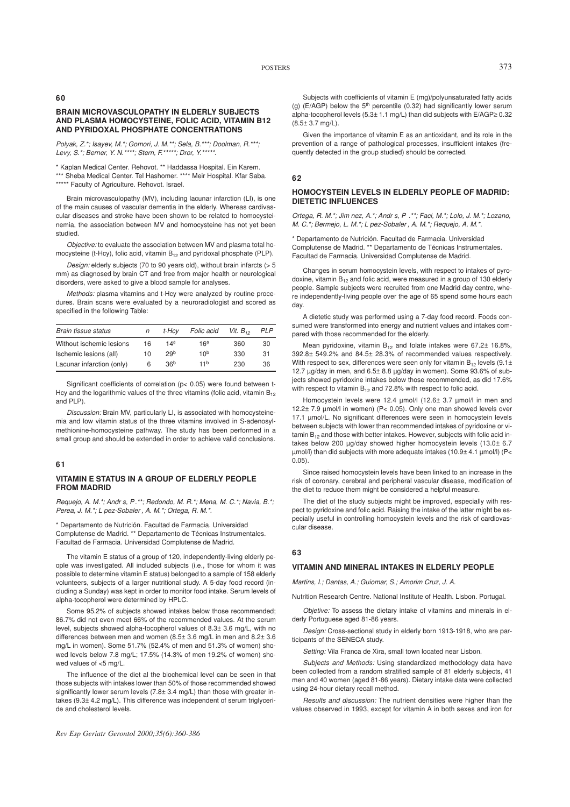**60**

# **BRAIN MICROVASCULOPATHY IN ELDERLY SUBJECTS AND PLASMA HOMOCYSTEINE, FOLIC ACID, VITAMIN B12 AND PYRIDOXAL PHOSPHATE CONCENTRATIONS**

*Polyak, Z.\*; Isayev, M.\*; Gomori, J. M.\*\*; Sela, B.\*\*\*; Doolman, R.\*\*\*; Levy, S.\*; Berner, Y. N.\*\*\*\*; Stern, F.\*\*\*\*\*; Dror, Y.\*\*\*\*\*.*

\* Kaplan Medical Center. Rehovot. \*\* Haddassa Hospital. Ein Karem. \*\*\* Sheba Medical Center. Tel Hashomer. \*\*\*\* Meir Hospital. Kfar Saba. \*\*\*\*\* Faculty of Agriculture. Rehovot. Israel.

Brain microvasculopathy (MV), including lacunar infarction (LI), is one of the main causes of vascular dementia in the elderly. Whereas cardivascular diseases and stroke have been shown to be related to homocysteinemia, the association between MV and homocysteine has not yet been studied.

*Objective:* to evaluate the association between MV and plasma total homocysteine (t-Hcy), folic acid, vitamin  $B_{12}$  and pyridoxal phosphate (PLP).

*Design:* elderly subjects (70 to 90 years old), without brain infarcts (> 5 mm) as diagnosed by brain CT and free from major health or neurological disorders, were asked to give a blood sample for analyses.

*Methods:* plasma vitamins and t-Hcy were analyzed by routine procedures. Brain scans were evaluated by a neuroradiologist and scored as specified in the following Table:

| Brain tissue status       | n  | t-Hcv           | Folic acid      | Vit. $B_{12}$ | PLP |
|---------------------------|----|-----------------|-----------------|---------------|-----|
| Without ischemic lesions  | 16 | 14ª             | 16 <sup>3</sup> | 360           | 30  |
| Ischemic lesions (all)    | 10 | 29 <sub>b</sub> | 10 <sup>b</sup> | 330           | 31  |
| Lacunar infarction (only) | 6  | 36 <sup>b</sup> | 11 <sup>b</sup> | 230           | 36  |

Significant coefficients of correlation (p< 0.05) were found between t-Hcy and the logarithmic values of the three vitamins (folic acid, vitamin  $B_{12}$ ) and PLP).

*Discussion:* Brain MV, particularly LI, is associated with homocysteinemia and low vitamin status of the three vitamins involved in S-adenosylmethionine-homocysteine pathway. The study has been performed in a small group and should be extended in order to achieve valid conclusions.

# **61**

#### **VITAMIN E STATUS IN A GROUP OF ELDERLY PEOPLE FROM MADRID**

*Requejo, A. M.\*; Andrs, P .\*\*; Redondo, M. R.\*; Mena, M. C.\*; Navia, B.\*; Perea, J. M.\*; Lpez-Sobaler , A. M.\*; Ortega, R. M.\*.*

\* Departamento de Nutrición. Facultad de Farmacia. Universidad Complutense de Madrid. \*\* Departamento de Técnicas Instrumentales. Facultad de Farmacia. Universidad Complutense de Madrid.

The vitamin E status of a group of 120, independently-living elderly people was investigated. All included subjects (i.e., those for whom it was possible to determine vitamin E status) belonged to a sample of 158 elderly volunteers, subjects of a larger nutritional study. A 5-day food record (including a Sunday) was kept in order to monitor food intake. Serum levels of alpha-tocopherol were determined by HPLC.

Some 95.2% of subjects showed intakes below those recommended; 86.7% did not even meet 66% of the recommended values. At the serum level, subjects showed alpha-tocopherol values of 8.3± 3.6 mg/L, with no differences between men and women (8.5± 3.6 mg/L in men and 8.2± 3.6 mg/L in women). Some 51.7% (52.4% of men and 51.3% of women) showed levels below 7.8 mg/L; 17.5% (14.3% of men 19.2% of women) showed values of <5 mg/L.

The influence of the diet al the biochemical level can be seen in that those subjects with intakes lower than 50% of those recommended showed significantly lower serum levels  $(7.8\pm 3.4 \text{ ma/L})$  than those with greater intakes (9.3± 4.2 mg/L). This difference was independent of serum triglyceride and cholesterol levels.

*Rev Esp Geriatr Gerontol 2000;35(6):360-386*

Subjects with coefficients of vitamin E (mg)/polyunsaturated fatty acids (g) (E/AGP) below the  $5<sup>th</sup>$  percentile (0.32) had significantly lower serum alpha-tocopherol levels (5.3± 1.1 mg/L) than did subjects with E/AGP≥ 0.32  $(8.5 \pm 3.7 \text{ ma/L})$ .

Given the importance of vitamin E as an antioxidant, and its role in the prevention of a range of pathological processes, insufficient intakes (frequently detected in the group studied) should be corrected.

#### **62**

#### **HOMOCYSTEIN LEVELS IN ELDERLY PEOPLE OF MADRID: DIETETIC INFLUENCES**

*Ortega, R. M.\*; Jimnez, A.\*; Andrs, P .\*\*; Faci, M.\*; Lolo, J. M.\*; Lozano, M. C.\*; Bermejo, L. M.\*; Lpez-Sobaler , A. M.\*; Requejo, A. M.\*.*

\* Departamento de Nutrición. Facultad de Farmacia. Universidad Complutense de Madrid. \*\* Departamento de Técnicas Instrumentales. Facultad de Farmacia. Universidad Complutense de Madrid.

Changes in serum homocystein levels, with respect to intakes of pyrodoxine, vitamin  $B_{12}$  and folic acid, were measured in a group of 130 elderly people. Sample subjects were recruited from one Madrid day centre, where independently-living people over the age of 65 spend some hours each day.

A dietetic study was performed using a 7-day food record. Foods consumed were transformed into energy and nutrient values and intakes compared with those recommended for the elderly.

Mean pyridoxine, vitamin  $B_{12}$  and folate intakes were 67.2 $\pm$  16.8%, 392.8± 549.2% and 84.5± 28.3% of recommended values respectively. With respect to sex, differences were seen only for vitamin  $B_{12}$  levels (9.1± 12.7 µg/day in men, and 6.5± 8.8 µg/day in women). Some 93.6% of subjects showed pyridoxine intakes below those recommended, as did 17.6% with respect to vitamin  $B_{12}$  and 72.8% with respect to folic acid.

Homocystein levels were 12.4 µmol/l (12.6± 3.7 µmol/l in men and 12.2± 7.9 µmol/l in women) (P< 0.05). Only one man showed levels over 17.1 umol/L. No significant differences were seen in homocystein levels between subjects with lower than recommended intakes of pyridoxine or vi $t$ amin B<sub>12</sub> and those with better intakes. However, subjects with folic acid intakes below 200 µg/day showed higher homocystein levels (13.0± 6.7 µmol/l) than did subjects with more adequate intakes (10.9± 4.1 µmol/l) (P<  $(0.05)$ .

Since raised homocystein levels have been linked to an increase in the risk of coronary, cerebral and peripheral vascular disease, modification of the diet to reduce them might be considered a helpful measure.

The diet of the study subjects might be improved, especially with respect to pyridoxine and folic acid. Raising the intake of the latter might be especially useful in controlling homocystein levels and the risk of cardiovascular disease.

#### **63**

#### **VITAMIN AND MINERAL INTAKES IN ELDERLY PEOPLE**

*Martins, I.; Dantas, A.; Guiomar, S.; Amorim Cruz, J. A.*

Nutrition Research Centre. National Institute of Health. Lisbon. Portugal.

*Objetive:* To assess the dietary intake of vitamins and minerals in elderly Portuguese aged 81-86 years.

*Design:* Cross-sectional study in elderly born 1913-1918, who are participants of the SENECA study.

*Setting:* Vila Franca de Xira, small town located near Lisbon.

*Subjects and Methods:* Using standardized methodology data have been collected from a random stratified sample of 81 elderly subjects, 41 men and 40 women (aged 81-86 years). Dietary intake data were collected using 24-hour dietary recall method.

*Results and discussion:* The nutrient densities were higher than the values observed in 1993, except for vitamin A in both sexes and iron for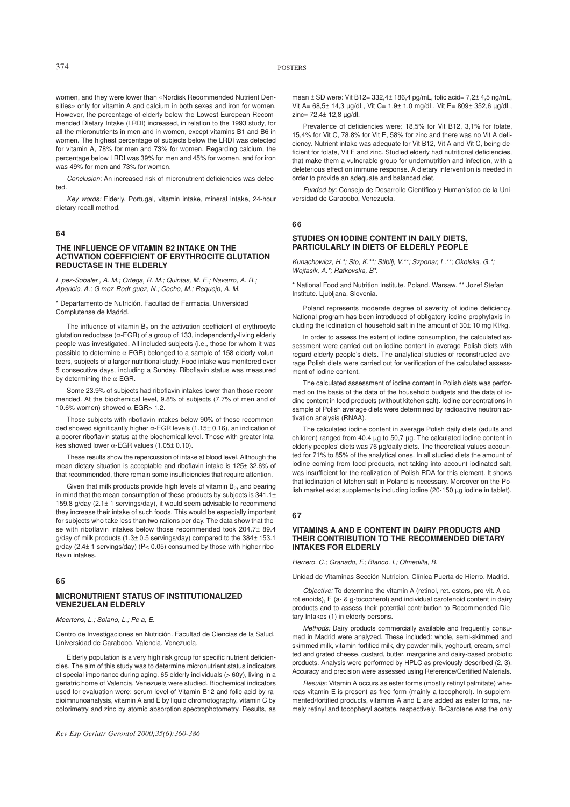women, and they were lower than «Nordisk Recommended Nutrient Densities» only for vitamin A and calcium in both sexes and iron for women. However, the percentage of elderly below the Lowest European Recommended Dietary Intake (LRDI) increased, in relation to the 1993 study, for all the micronutrients in men and in women, except vitamins B1 and B6 in women. The highest percentage of subjects below the LRDI was detected for vitamin A, 78% for men and 73% for women. Regarding calcium, the percentage below LRDI was 39% for men and 45% for women, and for iron was 49% for men and 73% for women.

*Conclusion:* An increased risk of micronutrient deficiencies was detected.

*Key words:* Elderly, Portugal, vitamin intake, mineral intake, 24-hour dietary recall method.

#### **64**

# **THE INFLUENCE OF VITAMIN B2 INTAKE ON THE ACTIVATION COEFFICIENT OF ERYTHROCITE GLUTATION REDUCTASE IN THE ELDERLY**

*Lpez-Sobaler , A. M.; Ortega, R. M.; Quintas, M. E.; Navarro, A. R.; Aparicio, A.; Gmez-Rodrguez, N.; Cocho, M.; Requejo, A. M.*

\* Departamento de Nutrición. Facultad de Farmacia. Universidad Complutense de Madrid.

The influence of vitamin  $B_2$  on the activation coefficient of erythrocyte glutation reductase (α-EGR) of a group of 133, independently-living elderly people was investigated. All included subjects (i.e., those for whom it was possible to determine α-EGR) belonged to a sample of 158 elderly volunteers, subjects of a larger nutritional study. Food intake was monitored over 5 consecutive days, including a Sunday. Riboflavin status was measured by determining the  $\alpha$ -EGR.

Some 23.9% of subjects had riboflavin intakes lower than those recommended. At the biochemical level, 9.8% of subjects (7.7% of men and of 10.6% women) showed  $α$ -EGR> 1.2.

Those subjects with riboflavin intakes below 90% of those recommended showed significantly higher α-EGR levels (1.15± 0.16), an indication of a poorer riboflavin status at the biochemical level. Those with greater intakes showed lower  $α$ -EGR values  $(1.05±0.10)$ .

These results show the repercussion of intake at blood level. Although the mean dietary situation is acceptable and riboflavin intake is 125± 32.6% of that recommended, there remain some insufficiencies that require attention.

Given that milk products provide high levels of vitamin B<sub>2</sub>, and bearing in mind that the mean consumption of these products by subjects is 341.1± 159.8 g/day (2.1± 1 servings/day), it would seem advisable to recommend they increase their intake of such foods. This would be especially important for subjects who take less than two rations per day. The data show that those with riboflavin intakes below those recommended took 204.7± 89.4 g/day of milk products (1.3± 0.5 servings/day) compared to the 384± 153.1 g/day (2.4± 1 servings/day) (P< 0.05) consumed by those with higher riboflavin intakes.

# **65**

# **MICRONUTRIENT STATUS OF INSTITUTIONALIZED VENEZUELAN ELDERLY**

*Meertens, L.; Solano, L.; Pea, E.*

Centro de Investigaciones en Nutrición. Facultad de Ciencias de la Salud. Universidad de Carabobo. Valencia. Venezuela.

Elderly population is a very high risk group for specific nutrient deficiencies. The aim of this study was to determine micronutrient status indicators of special importance during aging. 65 elderly individuals (> 60y), living in a geriatric home of Valencia, Venezuela were studied. Biochemical indicators used for evaluation were: serum level of Vitamin B12 and folic acid by radioimnunoanalysis, vitamin A and E by liquid chromotography, vitamin C by colorimetry and zinc by atomic absorption spectrophotometry. Results, as

mean ± SD were: Vit B12= 332,4± 186,4 pg/mL, folic acid= 7,2± 4,5 ng/mL, Vit A= 68,5± 14,3 µg/dL, Vit C= 1,9± 1,0 mg/dL, Vit E= 809± 352,6 µg/dL, zinc= 72,4± 12,8 µg/dl.

Prevalence of deficiencies were: 18,5% for Vit B12, 3,1% for folate, 15,4% for Vit C, 78,8% for Vit E, 58% for zinc and there was no Vit A deficiency. Nutrient intake was adequate for Vit B12, Vit A and Vit C, being deficient for folate, Vit E and zinc. Studied elderly had nutritional deficiencies, that make them a vulnerable group for undernutrition and infection, with a deleterious effect on immune response. A dietary intervention is needed in order to provide an adequate and balanced diet.

*Funded by:* Consejo de Desarrollo Científico y Humanístico de la Universidad de Carabobo, Venezuela.

# **66**

# **STUDIES ON IODINE CONTENT IN DAILY DIETS, PARTICULARLY IN DIETS OF ELDERLY PEOPLE**

*Kunachowicz, H.\*; Sto, K.\*\*; Stibilj, V.\*\*; Szponar, L.\*\*; Okolska, G.\*; Wojtasik, A.\*; Ratkovska, B\*.*

\* National Food and Nutrition Institute. Poland. Warsaw. \*\* Jozef Stefan Institute. Ljubljana. Slovenia.

Poland represents moderate degree of severity of iodine deficiency. National program has been introduced of obligatory iodine prophylaxis including the iodination of household salt in the amount of 30± 10 mg KI/kg.

In order to assess the extent of iodine consumption, the calculated assessment were carried out on iodine content in average Polish diets with regard elderly people's diets. The analytical studies of reconstructed average Polish diets were carried out for verification of the calculated assessment of iodine content.

The calculated assessment of iodine content in Polish diets was performed on the basis of the data of the household budgets and the data of iodine content in food products (without kitchen salt). Iodine concentrations in sample of Polish average diets were determined by radioactive neutron activation analysis (RNAA).

The calculated iodine content in average Polish daily diets (adults and children) ranged from 40.4 µg to 50,7 µg. The calculated iodine content in elderly peoples' diets was 76 µg/daily diets. The theoretical values accounted for 71% to 85% of the analytical ones. In all studied diets the amount of iodine coming from food products, not taking into account iodinated salt, was insufficient for the realization of Polish RDA for this element. It shows that iodination of kitchen salt in Poland is necessary. Moreover on the Polish market exist supplements including iodine (20-150 µg iodine in tablet).

#### **67**

#### **VITAMINS A AND E CONTENT IN DAIRY PRODUCTS AND THEIR CONTRIBUTION TO THE RECOMMENDED DIETARY INTAKES FOR ELDERLY**

*Herrero, C.; Granado, F.; Blanco, I.; Olmedilla, B.*

Unidad de Vitaminas Sección Nutricion. Clínica Puerta de Hierro. Madrid.

*Objective:* To determine the vitamin A (retinol, ret. esters, pro-vit. A carot.enoids), E (a- & g-tocopherol) and individual carotenoid content in dairy products and to assess their potential contribution to Recommended Dietary Intakes (1) in elderly persons.

*Methods:* Dairy products commercially available and frequently consumed in Madrid were analyzed. These included: whole, semi-skimmed and skimmed milk, vitamin-fortified milk, dry powder milk, yoghourt, cream, smelted and grated cheese, custard, butter, margarine and dairy-based probiotic products. Analysis were performed by HPLC as previously described (2, 3). Accuracy and precision were assessed using Reference/Certified Materials.

*Results:* Vitamin A occurs as ester forms (mostly retinyl palmitate) whereas vitamin E is present as free form (mainly a-tocopherol). In supplemmented/fortified products, vitamins A and E are added as ester forms, namely retinyl and tocopheryl acetate, respectively. B-Carotene was the only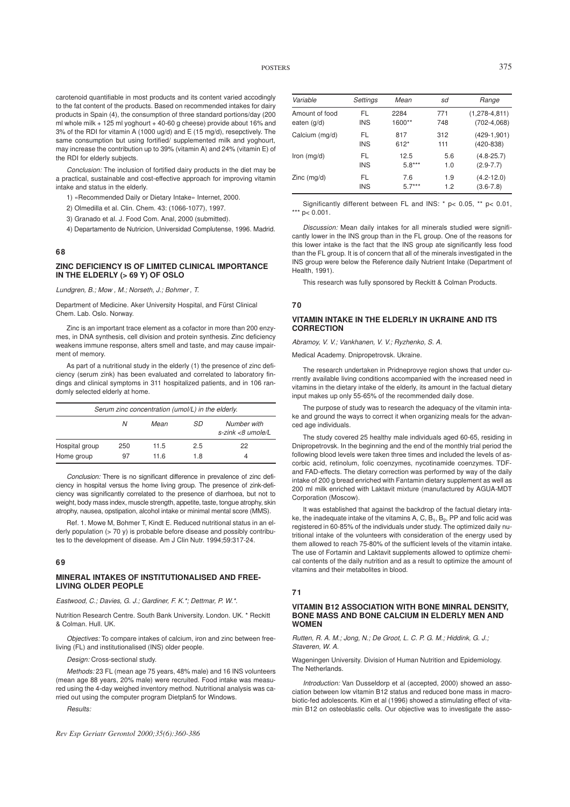carotenoid quantifiable in most products and its content varied accodingly to the fat content of the products. Based on recommended intakes for dairy products in Spain (4), the consumption of three standard portions/day (200 ml whole milk  $+ 125$  ml yoghourt  $+ 40-60$  g cheese) provide about 16% and 3% of the RDI for vitamin A (1000 ug/d) and E (15 mg/d), resepctively. The same consumption but using fortified/ supplemented milk and yoghourt, may increase the contribution up to 39% (vitamin A) and 24% (vitamin E) of the RDI for elderly subjects.

*Conclusion:* The inclusion of fortified dairy products in the diet may be a practical, sustainable and cost-effective approach for improving vitamin intake and status in the elderly.

- 1) «Recommended Daily or Dietary Intake» Internet, 2000.
- 2) Olmedilla et al. Clin. Chem. 43: (1066-1077), 1997.
- 3) Granado et al. J. Food Com. Anal, 2000 (submitted).
- 4) Departamento de Nutricion, Universidad Complutense, 1996. Madrid.

#### **68**

#### **ZINC DEFICIENCY IS OF LIMITED CLINICAL IMPORTANCE IN THE ELDERLY (> 69 Y) OF OSLO**

*Lundgren, B.; Mow, M.; Norseth, J.; Bohmer , T.*

Department of Medicine. Aker University Hospital, and Fürst Clinical Chem. Lab. Oslo. Norway.

Zinc is an important trace element as a cofactor in more than 200 enzymes, in DNA synthesis, cell division and protein synthesis. Zinc deficiency weakens immune response, alters smell and taste, and may cause impairment of memory.

As part of a nutritional study in the elderly (1) the presence of zinc deficiency (serum zink) has been evaluated and correlated to laboratory findings and clinical symptoms in 311 hospitalized patients, and in 106 randomly selected elderly at home.

| Serum zinc concentration (umol/L) in the elderly. |     |      |     |                                     |
|---------------------------------------------------|-----|------|-----|-------------------------------------|
|                                                   | N   | Mean | SD  | Number with<br>$s$ -zink <8 umole/L |
| Hospital group                                    | 250 | 11.5 | 2.5 | 22                                  |
| Home group                                        | 97  | 11 6 | 1.8 | 4                                   |

*Conclusion:* There is no significant difference in prevalence of zinc deficiency in hospital versus the home living group. The presence of zink-deficiency was significantly correlated to the presence of diarrhoea, but not to weight, body mass index, muscle strength, appetite, taste, tongue atrophy, skin atrophy, nausea, opstipation, alcohol intake or minimal mental score (MMS).

Ref. 1. Mowe M, Bohmer T, Kindt E. Reduced nutritional status in an elderly population (> 70 y) is probable before disease and possibly contributes to the development of disease. Am J Clin Nutr. 1994;59:317-24.

# **69**

# **MINERAL INTAKES OF INSTITUTIONALISED AND FREE-LIVING OLDER PEOPLE**

*Eastwood, C.; Davies, G. J.; Gardiner, F. K.\*; Dettmar, P. W.\*.*

Nutrition Research Centre. South Bank University. London. UK. \* Reckitt & Colman. Hull. UK.

*Objectives:* To compare intakes of calcium, iron and zinc between freeliving (FL) and institutionalised (INS) older people.

*Design:* Cross-sectional study.

*Methods:* 23 FL (mean age 75 years, 48% male) and 16 INS volunteers (mean age 88 years, 20% male) were recruited. Food intake was measured using the 4-day weighed inventory method. Nutritional analysis was carried out using the computer program Dietplan5 for Windows.

*Results:*

*Rev Esp Geriatr Gerontol 2000;35(6):360-386*

| Variable       | Settings   | Mean     | sd  | Range               |
|----------------|------------|----------|-----|---------------------|
| Amount of food | FL         | 2284     | 771 | $(1, 278 - 4, 811)$ |
| eaten (g/d)    | <b>INS</b> | 1600**   | 748 | $(702-4,068)$       |
| Calcium (mg/d) | FL         | 817      | 312 | $(429-1,901)$       |
|                | <b>INS</b> | $612*$   | 111 | $(420 - 838)$       |
| Iron $(mg/d)$  | FL.        | 12.5     | 5.6 | $(4.8 - 25.7)$      |
|                | <b>INS</b> | $5.8***$ | 1.0 | $(2.9 - 7.7)$       |
| $Zinc$ (mg/d)  | FL         | 7.6      | 1.9 | $(4.2 - 12.0)$      |
|                | <b>INS</b> | $57***$  | 1.2 | $(3.6 - 7.8)$       |

Significantly different between FL and INS: \* p< 0.05, \*\* p< 0.01, \*\*\*  $p < 0.001$ .

*Discussion:* Mean daily intakes for all minerals studied were significantly lower in the INS group than in the FL group. One of the reasons for this lower intake is the fact that the INS group ate significantly less food than the FL group. It is of concern that all of the minerals investigated in the INS group were below the Reference daily Nutrient Intake (Department of Health, 1991).

This research was fully sponsored by Reckitt & Colman Products.

# **70**

## **VITAMIN INTAKE IN THE ELDERLY IN UKRAINE AND ITS CORRECTION**

*Abramoy, V. V.; Vankhanen, V. V.; Ryzhenko, S. A.*

Medical Academy. Dnipropetrovsk. Ukraine.

The research undertaken in Pridneprovye region shows that under currently available living conditions accompanied with the increased need in vitamins in the dietary intake of the elderly, its amount in the factual dietary input makes up only 55-65% of the recommended daily dose.

The purpose of study was to research the adequacy of the vitamin intake and ground the ways to correct it when organizing meals for the advanced age individuals.

The study covered 25 healthy male individuals aged 60-65, residing in Dnipropetrovsk. In the beginning and the end of the monthly trial period the following blood levels were taken three times and included the levels of ascorbic acid, retinolum, folic coenzymes, nycotinamide coenzymes. TDFand FAD-effects. The dietary correction was performed by way of the daily intake of 200 g bread enriched with Fantamin dietary supplement as well as 200 ml milk enriched with Laktavit mixture (manufactured by AGUA-MDT Corporation (Moscow).

It was established that against the backdrop of the factual dietary intake, the inadequate intake of the vitamins A, C,  $\mathsf{B}_1,\mathsf{B}_2,$  PP and folic acid was registered in 60-85% of the individuals under study. The optimized daily nutritional intake of the volunteers with consideration of the energy used by them allowed to reach 75-80% of the sufficient levels of the vitamin intake. The use of Fortamin and Laktavit supplements allowed to optimize chemical contents of the daily nutrition and as a result to optimize the amount of vitamins and their metabolites in blood.

# **71**

#### **VITAMIN B12 ASSOCIATION WITH BONE MINRAL DENSITY, BONE MASS AND BONE CALCIUM IN ELDERLY MEN AND WOMEN**

*Rutten, R. A. M.; Jong, N.; De Groot, L. C. P. G. M.; Hiddink, G. J.; Staveren, W. A.*

Wageningen University. Division of Human Nutrition and Epidemiology. The Netherlands.

*Introduction:* Van Dusseldorp et al (accepted, 2000) showed an association between low vitamin B12 status and reduced bone mass in macrobiotic-fed adolescents. Kim et al (1996) showed a stimulating effect of vitamin B12 on osteoblastic cells. Our objective was to investigate the asso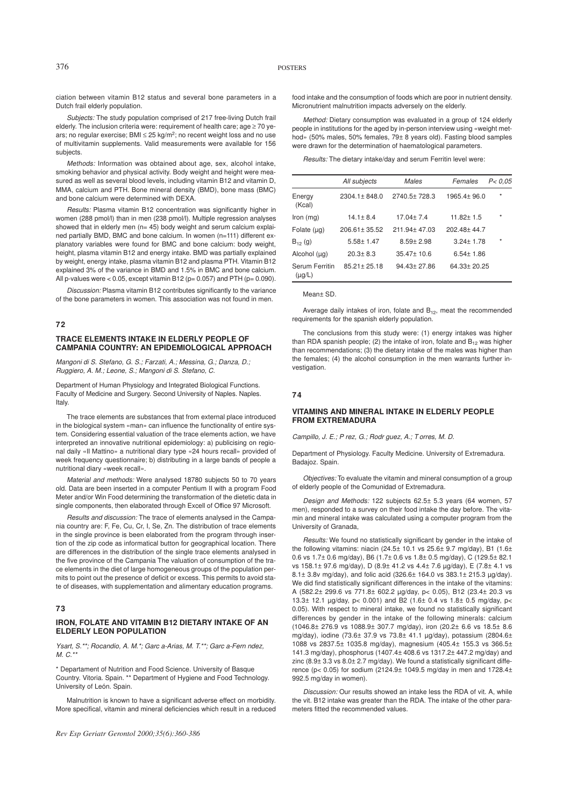ciation between vitamin B12 status and several bone parameters in a Dutch frail elderly population.

*Subjects:* The study population comprised of 217 free-living Dutch frail elderly. The inclusion criteria were: requirement of health care; age ≥ 70 years; no regular exercise; BMI ≤ 25 kg/m<sup>2</sup>; no recent weight loss and no use of multivitamin supplements. Valid measurements were available for 156 subjects.

*Methods:* Information was obtained about age, sex, alcohol intake, smoking behavior and physical activity. Body weight and height were measured as well as several blood levels, including vitamin B12 and vitamin D. MMA, calcium and PTH. Bone mineral density (BMD), bone mass (BMC) and bone calcium were determined with DEXA.

*Results:* Plasma vitamin B12 concentration was significantly higher in women (288 pmol/l) than in men (238 pmol/l). Multiple regression analyses showed that in elderly men ( $n= 45$ ) body weight and serum calcium explained partially BMD, BMC and bone calcium. In women (n=111) different explanatory variables were found for BMC and bone calcium: body weight, height, plasma vitamin B12 and energy intake. BMD was partially explained by weight, energy intake, plasma vitamin B12 and plasma PTH. Vitamin B12 explained 3% of the variance in BMD and 1.5% in BMC and bone calcium. All p-values were  $< 0.05$ , except vitamin B12 (p= 0.057) and PTH (p= 0.090).

*Discussion:* Plasma vitamin B12 contributes significantly to the variance of the bone parameters in women. This association was not found in men.

#### **72**

# **TRACE ELEMENTS INTAKE IN ELDERLY PEOPLE OF CAMPANIA COUNTRY: AN EPIDEMIOLOGICAL APPROACH**

*Mangoni di S. Stefano, G. S.; Farzati, A.; Messina, G.; Danza, D.; Ruggiero, A. M.; Leone, S.; Mangoni di S. Stefano, C.*

Department of Human Physiology and Integrated Biological Functions. Faculty of Medicine and Surgery. Second University of Naples. Naples. Italy.

The trace elements are substances that from external place introduced in the biological system «man» can influence the functionality of entire system. Considering essential valuation of the trace elements action, we have interpreted an innovative nutritional epidemiology: a) publicising on regional daily «Il Mattino» a nutritional diary type «24 hours recall» provided of week frequency questionnaire; b) distributing in a large bands of people a nutritional diary «week recall».

*Material and methods:* Were analysed 18780 subjects 50 to 70 years old. Data are been inserted in a computer Pentium II with a program Food Meter and/or Win Food determining the transformation of the dietetic data in single components, then elaborated through Excell of Office 97 Microsoft.

*Results and discussion:* The trace of elements analysed in the Campania country are: F, Fe, Cu, Cr, I, Se, Zn. The distribution of trace elements in the single province is been elaborated from the program through insertion of the zip code as informatical button for geographical location. There are differences in the distribution of the single trace elements analysed in the five province of the Campania The valuation of consumption of the trace elements in the diet of large homogeneous groups of the population permits to point out the presence of deficit or excess. This permits to avoid state of diseases, with supplementation and alimentary education programs.

# **73**

# **IRON, FOLATE AND VITAMIN B12 DIETARY INTAKE OF AN ELDERLY LEON POPULATION**

*Ysart, S.\*\*; Rocandio, A. M.\*; Garca-Arias, M. T.\*\*; Garca-Fernndez, M. C.\*\**

\* Departament of Nutrition and Food Science. University of Basque Country. Vitoria. Spain. \*\* Department of Hygiene and Food Technology. University of León. Spain.

Malnutrition is known to have a significant adverse effect on morbidity. More specifical, vitamin and mineral deficiencies which result in a reduced

food intake and the consumption of foods which are poor in nutrient density. Micronutrient malnutrition impacts adversely on the elderly.

*Method:* Dietary consumption was evaluated in a group of 124 elderly people in institutions for the aged by in-person interview using «weight method» (50% males, 50% females, 79± 8 years old). Fasting blood samples were drawn for the determination of haematological parameters.

*Results:* The dietary intake/day and serum Ferritin level were:

|                               | All subjects      | Males            | Females         | P < 0.05 |
|-------------------------------|-------------------|------------------|-----------------|----------|
| Energy<br>(Kcal)              | $2304.1 + 848.0$  | $2740.5 + 728.3$ | $1965.4 + 96.0$ | $\star$  |
| Iron $(mg)$                   | $14.1 \pm 8.4$    | $17.04 + 7.4$    | $11.82 + 1.5$   | $\star$  |
| Folate $(uq)$                 | $206.61 + 35.52$  | $211.94 + 47.03$ | $202.48 + 44.7$ |          |
| $B_{12}$ (g)                  | $5.58 + 1.47$     | $8.59 + 2.98$    | $3.24 + 1.78$   | $\star$  |
| Alcohol (µg)                  | $20.3 + 8.3$      | $35.47 \pm 10.6$ | $6.54 + 1.86$   |          |
| Serum Ferritin<br>$(\mu g/L)$ | $85.21 \pm 25.18$ | $94.43 + 27.86$  | 64.33+20.25     |          |

Mean± SD.

Average daily intakes of iron, folate and  $B_{12}$ , meat the recommended requirements for the spanish elderly population.

The conclusions from this study were: (1) energy intakes was higher than RDA spanish people; (2) the intake of iron, folate and  $B_{12}$  was higher than recommendations; (3) the dietary intake of the males was higher than the females; (4) the alcohol consumption in the men warrants further investigation.

# **74**

# **VITAMINS AND MINERAL INTAKE IN ELDERLY PEOPLE FROM EXTREMADURA**

*Campillo, J. E.; Prez, G.; Rodrguez, A.; T orres, M. D.*

Department of Physiology. Faculty Medicine. University of Extremadura. Badajoz. Spain.

*Objectives:* To evaluate the vitamin and mineral consumption of a group of elderly people of the Comunidad of Extremadura.

*Design and Methods:* 122 subjects 62.5± 5.3 years (64 women, 57 men), responded to a survey on their food intake the day before. The vitamin and mineral intake was calculated using a computer program from the University of Granada,

*Results:* We found no statistically significant by gender in the intake of the following vitamins: niacin (24.5 $\pm$  10.1 vs 25.6 $\pm$  9.7 mg/day), B1 (1.6 $\pm$ 0.6 vs 1.7± 0.6 mg/day), B6 (1.7± 0.6 vs 1.8± 0.5 mg/day), C (129.5± 82.1 vs 158.1± 97.6 mg/day), D (8.9± 41.2 vs 4.4± 7.6 µg/day), E (7.8± 4.1 vs 8.1± 3.8v mg/day), and folic acid (326.6± 164.0 vs 383.1± 215.3 µg/day). We did find statistically significant differences in the intake of the vitamins: A (582.2± 299.6 vs 771.8± 602.2 µg/day, p< 0.05), B12 (23.4± 20.3 vs 13.3± 12.1 µg/day, p< 0.001) and B2 (1.6± 0.4 vs 1.8± 0.5 mg/day, p< 0.05). With respect to mineral intake, we found no statistically significant differences by gender in the intake of the following minerals: calcium (1046.8± 276.9 vs 1088.9± 307.7 mg/day), iron (20.2± 6.6 vs 18.5± 8.6 mg/day), iodine (73.6± 37.9 vs 73.8± 41.1 µg/day), potassium (2804.6± 1088 vs 2837.5± 1035.8 mg/day), magnesium (405.4± 155.3 vs 366.5± 141.3 mg/day), phosphorus (1407.4± 408.6 vs 1317.2± 447.2 mg/day) and zinc (8.9± 3.3 vs 8.0± 2.7 mg/day). We found a statistically significant difference (p< 0.05) for sodium (2124.9 $\pm$  1049.5 mg/day in men and 1728.4 $\pm$ 992.5 mg/day in women).

*Discussion:* Our results showed an intake less the RDA of vit. A, while the vit. B12 intake was greater than the RDA. The intake of the other parameters fitted the recommended values.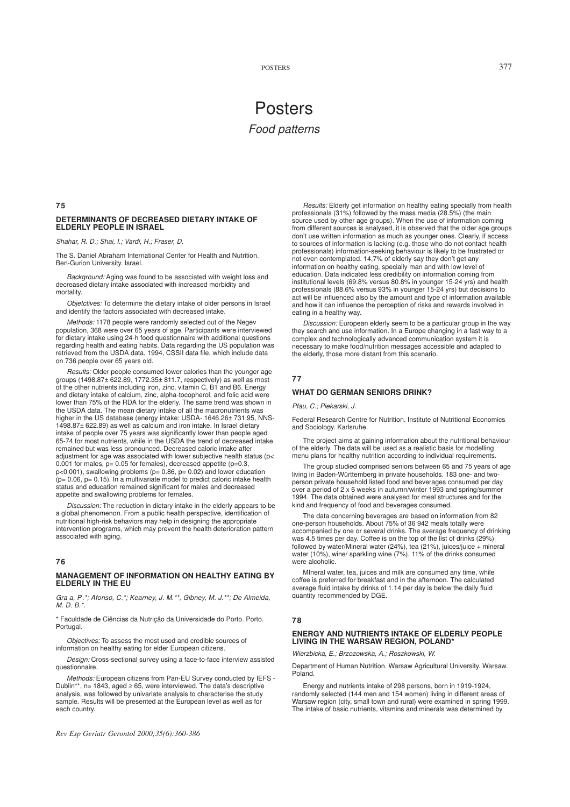# Posters *Food patterns*

**75**

# **DETERMINANTS OF DECREASED DIETARY INTAKE OF ELDERLY PEOPLE IN ISRAEL**

#### *Shahar, R. D.; Shai, I.; Vardi, H.; Fraser, D.*

The S. Daniel Abraham International Center for Health and Nutrition. Ben-Gurion University. Israel.

*Background:* Aging was found to be associated with weight loss and decreased dietary intake associated with increased morbidity and mortality.

*Objetctives:* To determine the dietary intake of older persons in Israel and identify the factors associated with decreased intake.

*Methods:* 1178 people were randomly selected out of the Negev population, 368 were over 65 years of age. Participants were interviewed for dietary intake using 24-h food questionnaire with additional questions regarding health and eating habits. Data regarding the US population was retrieved from the USDA data, 1994, CSSII data file, which include data on 736 people over 65 years old.

*Results:* Older people consumed lower calories than the younger age groups (1498.87± 622.89, 1772.35± 811.7, respectively) as well as most of the other nutrients including iron, zinc, vitamin C, B1 and B6. Energy and dietary intake of calcium, zinc, alpha-tocopherol, and folic acid were lower than 75% of the RDA for the elderly. The same trend was shown in the USDA data. The mean dietary intake of all the macronutrients was higher in the US database (energy intake: USDA- 1646.26± 731.95, NNS-1498.87± 622.89) as well as calcium and iron intake. In Israel dietary intake of people over 75 years was significantly lower than people aged 65-74 for most nutrients, while in the USDA the trend of decreased intake remained but was less pronounced. Decreased caloric intake after adjustment for age was associated with lower subjective health status (p< 0.001 for males,  $p= 0.05$  for females), decreased appetite ( $p=0.3$ , p<0.001), swallowing problems (p= 0.86, p= 0.02) and lower education  $(p= 0.06, p= 0.15)$ . In a multivariate model to predict caloric intake health status and education remained significant for males and decreased appetite and swallowing problems for females.

*Discussion:* The reduction in dietary intake in the elderly appears to be a global phenomenon. From a public health perspective, identification of nutritional high-risk behaviors may help in designing the appropriate intervention programs, which may prevent the health deterioration pattern associated with aging.

# **76**

#### **MANAGEMENT OF INFORMATION ON HEALTHY EATING BY ELDERLY IN THE EU**

*Graa, P.\*; Afonso, C.\*; Kearney, J. M.\*\*, Gibney, M. J.\*\*; De Almeida, M. D. B.\*.*

\* Faculdade de Ciências da Nutriçâo da Universidade do Porto. Porto. Portugal.

*Objectives:* To assess the most used and credible sources of information on healthy eating for elder European citizens.

*Design:* Cross-sectional survey using a face-to-face interview assisted questionnaire.

*Methods:* European citizens from Pan-EU Survey conducted by IEFS - Dublin\*\*, n= 1843, aged  $\geq$  65, were interviewed. The data's descriptive analysis, was followed by univariate analysis to characterise the study sample. Results will be presented at the European level as well as for each country.

*Rev Esp Geriatr Gerontol 2000;35(6):360-386*

*Results:* Elderly get information on healthy eating specially from health professionals (31%) followed by the mass media (28.5%) (the main source used by other age groups). When the use of information coming from different sources is analysed, it is observed that the older age groups don't use written information as much as younger ones. Clearly, if access to sources of information is lacking (e.g. those who do not contact health professionals) information-seeking behaviour is likely to be frustrated or not even contemplated. 14,7% of elderly say they don't get any information on healthy eating, specially man and with low level of education. Data indicated less credibility on information coming from institutional levels (69.8% versus 80.8% in younger 15-24 yrs) and health professionals (88.6% versus 93% in younger 15-24 yrs) but decisions to act will be influenced also by the amount and type of information available and how it can influence the perception of risks and rewards involved in eating in a healthy way.

*Discussion:* European elderly seem to be a particular group in the way they search and use information. In a Europe changing in a fast way to a complex and technologically advanced communication system it is necessary to make food/nutrition messages accessible and adapted to the elderly, those more distant from this scenario.

#### **77**

## **WHAT DO GERMAN SENIORS DRINK?**

*Pfau, C.; Piekarski, J.*

Federal Research Centre for Nutrition. Institute of Nutritional Economics and Sociology. Karlsruhe.

The project aims at gaining information about the nutritional behaviour of the elderly. The data will be used as a realistic basis for modelling menu plans for healthy nutrition according to individual requirements.

The group studied comprised seniors between 65 and 75 years of age living in Baden-Württemberg in private households. 183 one- and twoperson private household listed food and beverages consumed per day over a period of 2 x 6 weeks in autumn/winter 1993 and spring/summer 1994. The data obtained were analysed for meal structures and for the kind and frequency of food and beverages consumed.

The data concerning beverages are based on information from 82 one-person households. About 75% of 36 942 meals totally were accompanied by one or several drinks. The average frequency of drinking was 4.5 times per day. Coffee is on the top of the list of drinks (29%) followed by water/Mineral water (24%), tea (21%), juices/juice + mineral water (10%), wine/ sparkling wine (7%). 11% of the drinks consumed were alcoholic.

MIneral water, tea, juices and milk are consumed any time, while coffee is preferred for breakfast and in the afternoon. The calculated average fluid intake by drinks of 1.14 per day is below the daily fluid quantity recommended by DGE.

#### **78**

## **ENERGY AND NUTRIENTS INTAKE OF ELDERLY PEOPLE LIVING IN THE WARSAW REGION, POLAND\***

*Wierzbicka, E.; Brzozowska, A.; Roszkowski, W.*

Department of Human Nutrition. Warsaw Agricultural University. Warsaw. Poland.

Energy and nutrients intake of 298 persons, born in 1919-1924, randomly selected (144 men and 154 women) living in different areas of Warsaw region (city, small town and rural) were examined in spring 1999. The intake of basic nutrients, vitamins and minerals was determined by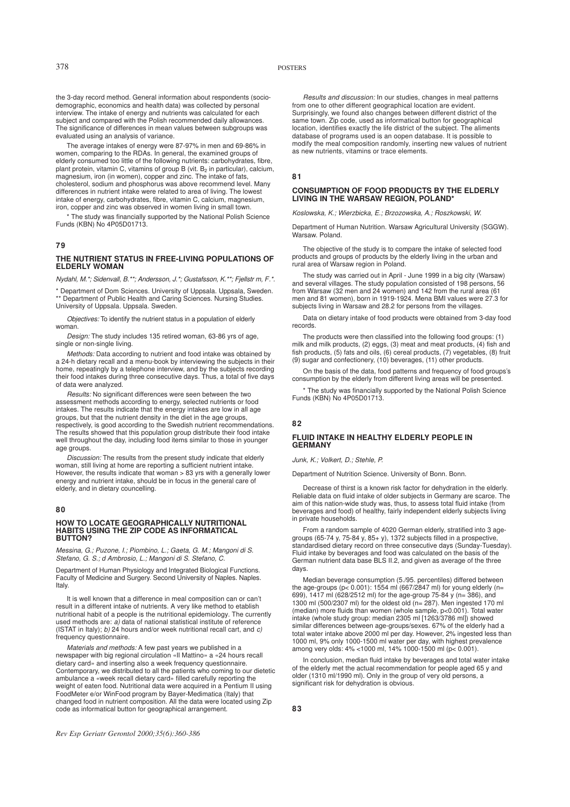# 378 POSTERS

the 3-day record method. General information about respondents (sociodemographic, economics and health data) was collected by personal interview. The intake of energy and nutrients was calculated for each subject and compared with the Polish recommended daily allowances. The significance of differences in mean values between subgroups was evaluated using an analysis of variance.

The average intakes of energy were 87-97% in men and 69-86% in women, comparing to the RDAs. In general, the examined groups of elderly consumed too little of the following nutrients: carbohydrates, fibre, plant protein, vitamin C, vitamins of group B (vit.  $\mathsf{B}_2$  in particular), calcium, magnesium, iron (in women), copper and zinc. The intake of fats, cholesterol, sodium and phosphorus was above recommend level. Many differences in nutrient intake were related to area of living. The lowest intake of energy, carbohydrates, fibre, vitamin C, calcium, magnesium, iron, copper and zinc was observed in women living in small town.

\* The study was financially supported by the National Polish Science Funds (KBN) No 4P05D01713.

# **79**

#### **THE NUTRIENT STATUS IN FREE-LIVING POPULATIONS OF ELDERLY WOMAN**

*Nydahl, M.\*; Sidenvall, B.\*\*; Andersson, J.\*; Gustafsson, K.\*\*; Fjellstrm, F.\*.*

\* Department of Dom Sciences. University of Uppsala. Uppsala, Sweden. \*\* Department of Public Health and Caring Sciences. Nursing Studies. University of Uppsala. Uppsala. Sweden.

*Objectives:* To identify the nutrient status in a population of elderly woman.

*Design:* The study includes 135 retired woman, 63-86 yrs of age, single or non-single living.

*Methods:* Data according to nutrient and food intake was obtained by a 24-h dietary recall and a menu-book by interviewing the subjects in their home, repeatingly by a telephone interview, and by the subjects recording their food intakes during three consecutive days. Thus, a total of five days of data were analyzed.

*Results:* No significant differences were seen between the two assessment methods according to energy, selected nutrients or food intakes. The results indicate that the energy intakes are low in all age groups, but that the nutrient density in the diet in the age groups, respectively, is good according to the Swedish nutrient recommendations. The results showed that this population group distribute their food intake well throughout the day, including food items similar to those in younger age groups.

*Discussion:* The results from the present study indicate that elderly woman, still living at home are reporting a sufficient nutrient intake. However, the results indicate that woman > 83 yrs with a generally lower energy and nutrient intake, should be in focus in the general care of elderly, and in dietary councelling.

#### **80**

#### **HOW TO LOCATE GEOGRAPHICALLY NUTRITIONAL HABITS USING THE ZIP CODE AS INFORMATICAL BUTTON?**

*Messina, G.; Puzone, I.; Piombino, L.; Gaeta, G. M.; Mangoni di S.* Stefano, G. S.; d Ambrosio, L.; Mangoni di S. Stefano, C.

Department of Human Physiology and Integrated Biological Functions. Faculty of Medicine and Surgery. Second University of Naples. Naples. Italy.

It is well known that a difference in meal composition can or can't result in a different intake of nutrients. A very like method to etablish nutritional habit of a people is the nutritional epidemiology. The currently used methods are: *a)* data of national statistical institute of reference (ISTAT in Italy); *b)* 24 hours and/or week nutritional recall cart, and *c)* frequency questionnaire.

*Materials and methods:* A few past years we published in a newspaper with big regional circulation «Il Mattino» a «24 hours recall dietary card» and inserting also a week frequency questionnaire. Contemporary, we distributed to all the patients who coming to our dietetic ambulance a «week recall dietary card» filled carefully reporting the weight of eaten food. Nutritional data were acquired in a Pentium II using FoodMeter e/or WinFood program by Bayer-Medimatica (Italy) that changed food in nutrient composition. All the data were located using Zip code as informatical button for geographical arrangement.

*Results and discussion:* In our studies, changes in meal patterns from one to other different geographical location are evident. Surprisingly, we found also changes between different district of the same town. Zip code, used as informatical button for geographical location, identifies exactly the life district of the subject. The aliments database of programs used is an oopen database. It is possible to modify the meal composition randomly, inserting new values of nutrient as new nutrients, vitamins or trace elements.

#### **81**

#### **CONSUMPTION OF FOOD PRODUCTS BY THE ELDERLY LIVING IN THE WARSAW REGION, POLAND\***

*Koslowska, K.; Wierzbicka, E.; Brzozowska, A.; Roszkowski, W.*

Department of Human Nutrition. Warsaw Agricultural University (SGGW). Warsaw. Poland.

The objective of the study is to compare the intake of selected food products and groups of products by the elderly living in the urban and rural area of Warsaw region in Poland.

The study was carried out in April - June 1999 in a big city (Warsaw) and several villages. The study population consisted of 198 persons, 56 from Warsaw (32 men and 24 women) and 142 from the rural area (61 men and 81 women), born in 1919-1924. Mena BMI values were 27.3 for subjects living in Warsaw and 28.2 for persons from the villages.

Data on dietary intake of food products were obtained from 3-day food records.

The products were then classified into the following food groups: (1) milk and milk products, (2) eggs, (3) meat and meat products, (4) fish and fish products, (5) fats and oils, (6) cereal products, (7) vegetables, (8) fruit (9) sugar and confectionery, (10) beverages, (11) other products.

On the basis of the data, food patterns and frequency of food groups's consumption by the elderly from different living areas will be presented.

\* The study was financially supported by the National Polish Science Funds (KBN) No 4P05D01713.

# **82**

**83**

#### **FLUID INTAKE IN HEALTHY ELDERLY PEOPLE IN GERMANY**

*Junk, K.; Volkert, D.; Stehle, P.*

Department of Nutrition Science. University of Bonn. Bonn.

Decrease of thirst is a known risk factor for dehydration in the elderly. Reliable data on fluid intake of older subjects in Germany are scarce. The aim of this nation-wide study was, thus, to assess total fluid intake (from beverages and food) of healthy, fairly independent elderly subjects living in private households.

From a random sample of 4020 German elderly, stratified into 3 agegroups (65-74 y, 75-84 y, 85+ y), 1372 subjects filled in a prospective, standardised dietary record on three consecutive days (Sunday-Tuesday). Fluid intake by beverages and food was calculated on the basis of the German nutrient data base BLS II.2, and given as average of the three days.

Median beverage consumption (5./95. percentiles) differed between the age-groups (p< 0.001): 1554 ml (667/2847 ml) for young elderly (n= 699), 1417 ml (628/2512 ml) for the age-group 75-84 y (n= 386), and 1300 ml (500/2307 ml) for the oldest old (n= 287). Men ingested 170 ml (median) more fluids than women (whole sample, p<0.001). Total water intake (whole study group: median 2305 ml [1263/3786 ml]) showed similar differences between age-groups/sexes. 67% of the elderly had a total water intake above 2000 ml per day. However, 2% ingested less than 1000 ml, 9% only 1000-1500 ml water per day, with highest prevalence among very olds: 4% <1000 ml, 14% 1000-1500 ml (p< 0.001).

In conclusion, median fluid intake by beverages and total water intake of the elderly met the actual recommendation for people aged 65 y and older (1310 ml/1990 ml). Only in the group of very old persons, a significant risk for dehydration is obvious.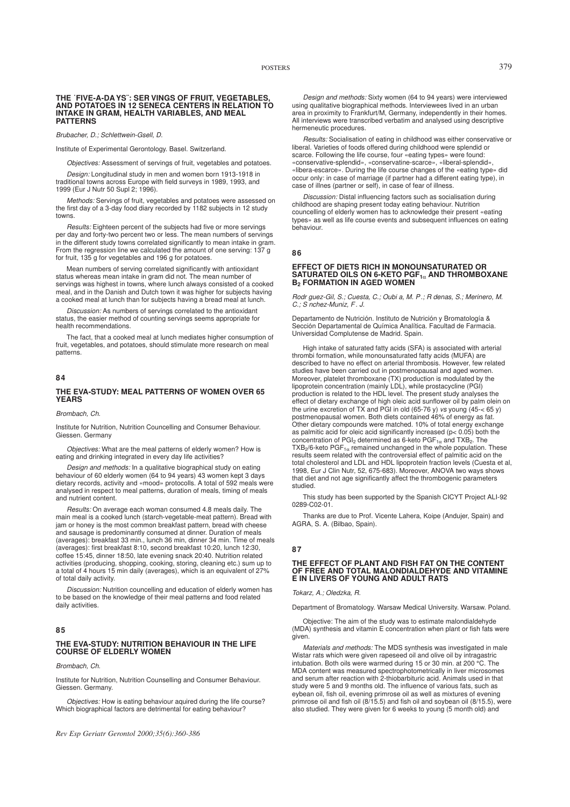#### **THE ˙FIVE-A-DAYS¨: SER VINGS OF FRUIT, VEGETABLES, AND POTATOES IN 12 SENECA CENTERS IN RELATION TO INTAKE IN GRAM, HEALTH VARIABLES, AND MEAL PATTERNS**

*Brubacher, D.; Schlettwein-Gsell, D.*

Institute of Experimental Gerontology. Basel. Switzerland.

*Objectives:* Assessment of servings of fruit, vegetables and potatoes.

*Design:* Longitudinal study in men and women born 1913-1918 in traditional towns across Europe with field surveys in 1989, 1993, and 1999 (Eur J Nutr 50 Supl 2; 1996).

*Methods:* Servings of fruit, vegetables and potatoes were assessed on the first day of a 3-day food diary recorded by 1182 subjects in 12 study towns.

*Results:* Eighteen percent of the subjects had five or more servings per day and forty-two percent two or less. The mean numbers of servings in the different study towns correlated significantly to mean intake in gram. From the regression line we calculated the amount of one serving: 137 g for fruit, 135 g for vegetables and 196 g for potatoes.

Mean numbers of serving correlated significantly with antioxidant status whereas mean intake in gram did not. The mean number of servings was highest in towns, where lunch always consisted of a cooked meal, and in the Danish and Dutch town it was higher for subjects having a cooked meal at lunch than for subjects having a bread meal at lunch.

*Discussion:* As numbers of servings correlated to the antioxidant status, the easier method of counting servings seems appropriate for health recommendations.

The fact, that a cooked meal at lunch mediates higher consumption of fruit, vegetables, and potatoes, should stimulate more research on meal patterns.

#### **84**

#### **THE EVA-STUDY: MEAL PATTERNS OF WOMEN OVER 65 YEARS**

#### *Brombach, Ch.*

Institute for Nutrition, Nutrition Councelling and Consumer Behaviour. Giessen. Germany

*Objectives:* What are the meal patterns of elderly women? How is eating and drinking integrated in every day life activities?

*Design and methods:* In a qualitative biographical study on eating behaviour of 60 elderly women (64 to 94 years) 43 women kept 3 days dietary records, activity and «mood» protocolls. A total of 592 meals were analysed in respect to meal patterns, duration of meals, timing of meals and nutrient content.

*Results:* On average each woman consumed 4.8 meals daily. The main meal is a cooked lunch (starch-vegetable-meat pattern). Bread with jam or honey is the most common breakfast pattern, bread with cheese and sausage is predominantly consumed at dinner. Duration of meals (averages): breakfast 33 min., lunch 36 min, dinner 34 min. Time of meals (averages): first breakfast 8:10, second breakfast 10:20, lunch 12:30, coffee 15:45, dinner 18:50, late evening snack 20:40. Nutrition related activities (producing, shopping, cooking, storing, cleaning etc.) sum up to a total of 4 hours 15 min daily (averages), which is an equivalent of 27% of total daily activity.

*Discussion:* Nutrition councelling and education of elderly women has to be based on the knowledge of their meal patterns and food related daily activities.

# **85**

# **THE EVA-STUDY: NUTRITION BEHAVIOUR IN THE LIFE COURSE OF ELDERLY WOMEN**

#### *Brombach, Ch.*

Institute for Nutrition, Nutrition Counselling and Consumer Behaviour. Giessen. Germany.

*Objectives:* How is eating behaviour aquired during the life course? Which biographical factors are detrimental for eating behaviour?

*Design and methods:* Sixty women (64 to 94 years) were interviewed using qualitative biographical methods. Interviewees lived in an urban area in proximity to Frankfurt/M, Germany, independently in their homes. All interviews were transcribed verbatim and analysed using descriptive hermeneutic procedures.

*Results:* Socialisation of eating in childhood was either conservative or liberal. Varieties of foods offered during childhood were splendid or scarce. Following the life course, four «eating types» were found: «conservative-splendid», «conservatine-scarce», «liberal-splendid», «libera-escarce». During the life course changes of the «eating type» did occur only: in case of marriage (if partner had a different eating type), in case of illnes (partner or self), in case of fear of illness.

*Discussion:* Distal influencing factors such as socialisation during childhood are shaping present today eating behaviour. Nutrition councelling of elderly women has to acknowledge their present «eating types» as well as life course events and subsequent influences on eating behaviour.

**86**

#### **EFFECT OF DIETS RICH IN MONOUNSATURATED OR SATURATED OILS ON 6-KETO PGF<sup>1</sup>**<sup>α</sup> **AND THROMBOXANE B<sup>2</sup> FORMATION IN AGED WOMEN**

*Rodrguez-Gil, S.; Cuesta, C.; Oubia, M. P .; Rdenas, S.; Merinero, M. C.; Snchez-Muniz, F . J.*

Departamento de Nutrición. Instituto de Nutrición y Bromatología & Sección Departamental de Química Analítica. Facultad de Farmacia. Universidad Complutense de Madrid. Spain.

High intake of saturated fatty acids (SFA) is associated with arterial thrombi formation, while monounsaturated fatty acids (MUFA) are described to have no effect on arterial thrombosis. However, few related studies have been carried out in postmenopausal and aged women. Moreover, platelet thromboxane (TX) production is modulated by the lipoprotein concentration (mainly LDL), while prostacycline (PGI) production is related to the HDL level. The present study analyses the effect of dietary exchange of high oleic acid sunflower oil by palm olein on the urine excretion of TX and PGI in old (65-76 y) *vs* young (45-< 65 y) postmenopausal women. Both diets contained 46% of energy as fat. Other dietary compounds were matched. 10% of total energy exchange as palmitic acid for oleic acid significantly increased (p< 0.05) both the<br>concentration of PGI<sub>2</sub> determined as 6-keto PGF<sub>1α</sub> and TXB<sub>2</sub>. The  $\mathsf{TXB}_2$ /6-keto PGF $_{1\alpha}$  remained unchanged in the whole population. These results seem related with the controversial effect of palmitic acid on the total cholesterol and LDL and HDL lipoprotein fraction levels (Cuesta et al, 1998, Eur J Clin Nutr, 52, 675-683). Moreover, ANOVA two ways shows that diet and not age significantly affect the thrombogenic parameters studied.

This study has been supported by the Spanish CICYT Project ALI-92 0289-C02-01.

Thanks are due to Prof. Vicente Lahera, Koipe (Andujer, Spain) and AGRA, S. A. (Bilbao, Spain).

# **87**

#### **THE EFFECT OF PLANT AND FISH FAT ON THE CONTENT OF FREE AND TOTAL MALONDIALDEHYDE AND VITAMINE E IN LIVERS OF YOUNG AND ADULT RATS**

*Tokarz, A.; Oledzka, R.*

Department of Bromatology. Warsaw Medical University. Warsaw. Poland.

Objective: The aim of the study was to estimate malondialdehyde (MDA) synthesis and vitamin E concentration when plant or fish fats were given.

*Materials and methods:* The MDS synthesis was investigated in male Wistar rats which were given rapeseed oil and olive oil by intragastric intubation. Both oils were warmed during 15 or 30 min. at 200 °C. The MDA content was measured spectrophotometrically in liver microsomes and serum after reaction with 2-thiobarbituric acid. Animals used in that study were 5 and 9 months old. The influence of various fats, such as eybean oil, fish oil, evening primrose oil as well as mixtures of evening primrose oil and fish oil (8/15.5) and fish oil and soybean oil (8/15.5), were also studied. They were given for 6 weeks to young (5 month old) and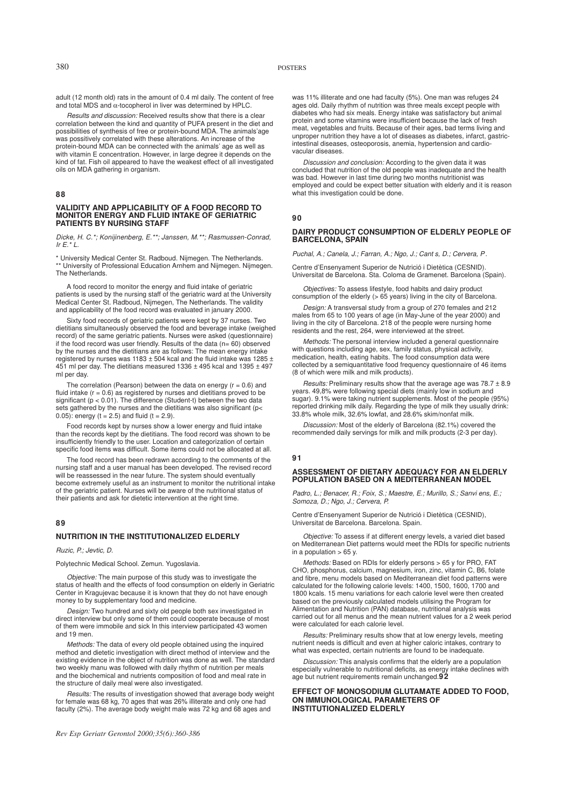adult (12 month old) rats in the amount of 0.4 ml daily. The content of free and total MDS and  $\alpha$ -tocopherol in liver was determined by HPLC.

*Results and discussion:* Received results show that there is a clear correlation between the kind and quantity of PUFA present in the diet and possibilities of synthesis of free or protein-bound MDA. The animals'age was possitively correlated with these alterations. An increase of the protein-bound MDA can be connected with the animals' age as well as with vitamin E concentration. However, in large degree it depends on the kind of fat. Fish oil appeared to have the weakest effect of all investigated oils on MDA gathering in organism.

# **88**

# **VALIDITY AND APPLICABILITY OF A FOOD RECORD TO MONITOR ENERGY AND FLUID INTAKE OF GERIATRIC PATIENTS BY NURSING STAFF**

*Dicke, H. C.\*; Konijinenberg, E.\*\*; Janssen, M.\*\*; Rasmussen-Conrad, Ir E.\* L.*

\* University Medical Center St. Radboud. Nijmegen. The Netherlands. \*\* University of Professional Education Arnhem and Nijmegen. Nijmegen. The Netherlands.

A food record to monitor the energy and fluid intake of geriatric patients is used by the nursing staff of the geriatric ward at the University Medical Center St. Radboud, Nijmegen, The Netherlands. The validity and applicability of the food record was evaluated in january 2000.

Sixty food records of geriatric patients were kept by 37 nurses. Two dietitians simultaneously observed the food and beverage intake (weighed record) of the same geriatric patients. Nurses were asked (questionnaire) if the food record was user friendly. Results of the data (n= 60) observed by the nurses and the dietitians are as follows: The mean energy intake registered by nurses was 1183  $\pm$  504 kcal and the fluid intake was 1285  $\pm$ 451 ml per day. The dietitians measured 1336 ± 495 kcal and 1395 ± 497 ml per day.

The correlation (Pearson) between the data on energy  $(r = 0.6)$  and fluid intake  $(r = 0.6)$  as registered by nurses and dietitians proved to be significant  $(p < 0.01)$ . The difference (Student-t) between the two data sets gathered by the nurses and the dietitians was also significant (p< 0.05): energy ( $t = 2.5$ ) and fluid ( $t = 2.9$ ).

Food records kept by nurses show a lower energy and fluid intake than the records kept by the dietitians. The food record was shown to be insufficiently friendly to the user. Location and categorization of certain specific food items was difficult. Some items could not be allocated at all.

The food record has been redrawn according to the comments of the nursing staff and a user manual has been developed. The revised record will be reassessed in the near future. The system should eventually become extremely useful as an instrument to monitor the nutritional intake of the geriatric patient. Nurses will be aware of the nutritional status of their patients and ask for dietetic intervention at the right time.

# **89**

# **NUTRITION IN THE INSTITUTIONALIZED ELDERLY**

#### *Ruzic, P.; Jevtic, D.*

Polytechnic Medical School. Zemun. Yugoslavia.

*Objective:* The main purpose of this study was to investigate the status of health and the effects of food consumption on elderly in Geriatric Center in Kragujevac because it is known that they do not have enough money to by supplementary food and medicine.

*Design:* Two hundred and sixty old people both sex investigated in direct interview but only some of them could cooperate because of most of them were immobile and sick In this interview participated 43 women and 19 men.

*Methods:* The data of every old people obtained using the inquired method and dietetic investigation with direct method of interview and the existing evidence in the object of nutrition was done as well. The standard two weekly manu was followed with daily rhythm of nutrition per meals and the biochemical and nutrients composition of food and meal rate in the structure of daily meal were also investigated.

*Results:* The results of investigation showed that average body weight for female was 68 kg, 70 ages that was 26% illiterate and only one had faculty (2%). The average body weight male was 72 kg and 68 ages and

was 11% illiterate and one had faculty (5%). One man was refuges 24 ages old. Daily rhythm of nutrition was three meals except people with diabetes who had six meals. Energy intake was satisfactory but animal protein and some vitamins were insufficient because the lack of fresh meat, vegetables and fruits. Because of their ages, bad terms living and unproper nutrition they have a lot of diseases as diabetes, infarct, gastricintestinal diseases, osteoporosis, anemia, hypertension and cardiovacular diseases.

*Discussion and conclusion:* According to the given data it was concluded that nutrition of the old people was inadequate and the health was bad. However in last time during two months nutritionist was employed and could be expect better situation with elderly and it is reason what this investigation could be done.

#### **90**

#### **DAIRY PRODUCT CONSUMPTION OF ELDERLY PEOPLE OF BARCELONA, SPAIN**

*Puchal, A.; Canela, J.; Farran, A.; Ngo, J.; Cants, D.; Cervera, P .*

Centre d'Ensenyament Superior de Nutrició i Dietètica (CESNID). Universitat de Barcelona. Sta. Coloma de Gramenet. Barcelona (Spain).

*Objectives:* To assess lifestyle, food habits and dairy product consumption of the elderly (> 65 years) living in the city of Barcelona.

*Design:* A transversal study from a group of 270 females and 212 males from 65 to 100 years of age (in May-June of the year 2000) and living in the city of Barcelona. 218 of the people were nursing home residents and the rest, 264, were interviewed at the street.

*Methods:* The personal interview included a general questionnaire with questions including age, sex, family status, physical activity, medication, health, eating habits. The food consumption data were collected by a semiquantitative food frequency questionnaire of 46 items (8 of which were milk and milk products).

*Results:* Preliminary results show that the average age was 78.7 ± 8.9 years. 49,8% were following special diets (mainly low in sodium and sugar). 9.1% were taking nutrient supplements. Most of the people (95%) reported drinking milk daily. Regarding the type of milk they usually drink: 33.8% whole milk, 32.6% lowfat, and 28.6% skim/nonfat milk.

*Discussion:* Most of the elderly of Barcelona (82.1%) covered the recommended daily servings for milk and milk products (2-3 per day).

# **91**

#### **ASSESSMENT OF DIETARY ADEQUACY FOR AN ELDERLY POPULATION BASED ON A MEDITERRANEAN MODEL**

Padro, L.; Benacer, R.; Foix, S.; Maestre, E.; Murillo, S.; Sanvi ens, E.; *Somoza, D.; Ngo, J.; Cervera, P.*

Centre d'Ensenyament Superior de Nutrició i Dietètica (CESNID), Universitat de Barcelona. Barcelona. Spain.

*Objective:* To assess if at different energy levels, a varied diet based on Mediterranean Diet patterns would meet the RDIs for specific nutrients  $in a population > 65$  y.

*Methods:* Based on RDIs for elderly persons > 65 y for PRO, FAT CHO, phosphorus, calcium, magnesium, iron, zinc, vitamin C, B6, folate and fibre, menu models based on Mediterranean diet food patterns were calculated for the following calorie levels: 1400, 1500, 1600, 1700 and 1800 kcals. 15 menu variations for each calorie level were then created based on the previously calculated models utilising the Program for Alimentation and Nutrition (PAN) database, nutritional analysis was carried out for all menus and the mean nutrient values for a 2 week period were calculated for each calorie level.

*Results:* Preliminary results show that at low energy levels, meeting nutrient needs is difficult and even at higher caloric intakes, contrary to what was expected, certain nutrients are found to be inadequate

*Discussion:* This analysis confirms that the elderly are a population especially vulnerable to nutritional deficits, as energy intake declines with age but nutrient requirements remain unchanged.**92**

#### **EFFECT OF MONOSODIUM GLUTAMATE ADDED TO FOOD, ON IMMUNOLOGICAL PARAMETERS OF INSTITUTIONALIZED ELDERLY**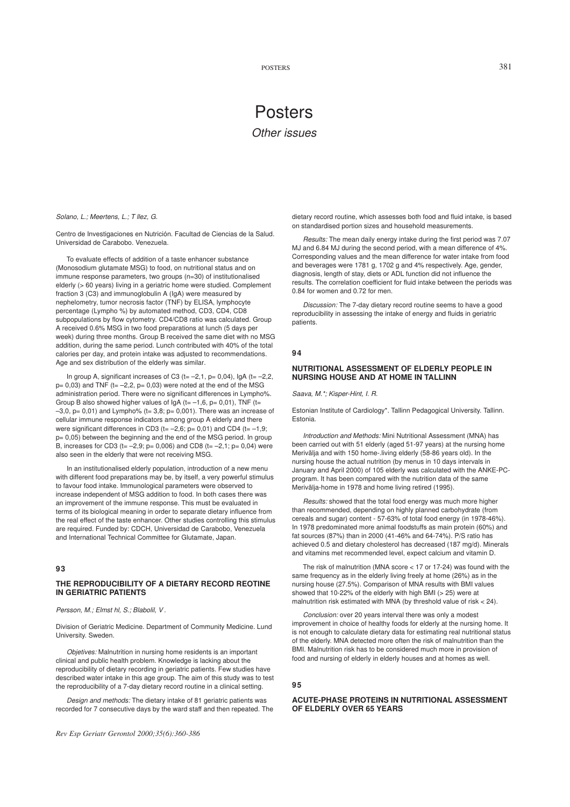# Posters *Other issues*

*Solano, L.; Meertens, L.; Tllez, G.*

Centro de Investigaciones en Nutrición. Facultad de Ciencias de la Salud. Universidad de Carabobo. Venezuela.

To evaluate effects of addition of a taste enhancer substance (Monosodium glutamate MSG) to food, on nutritional status and on immune response parameters, two groups (n=30) of institutionalised elderly (> 60 years) living in a geriatric home were studied. Complement fraction 3 (C3) and immunoglobulin A (IgA) were measured by nephelometry, tumor necrosis factor (TNF) by ELISA, lymphocyte percentage (Lympho %) by automated method, CD3, CD4, CD8 subpopulations by flow cytometry. CD4/CD8 ratio was calculated. Group A received 0.6% MSG in two food preparations at lunch (5 days per week) during three months. Group B received the same diet with no MSG addition, during the same period. Lunch contributed with 40% of the total calories per day, and protein intake was adjusted to recommendations. Age and sex distribution of the elderly was similar.

In group A, significant increases of C3 (t= $-2,1$ , p= 0,04), IgA (t= $-2,2$ ,  $p= 0.03$ ) and TNF (t= -2,2,  $p= 0.03$ ) were noted at the end of the MSG administration period. There were no significant differences in Lympho%. Group B also showed higher values of  $IgA$  (t= -1,6, p= 0,01), TNF (t=  $-3,0$ ,  $p= 0,01$ ) and Lympho% (t= 3,8;  $p= 0,001$ ). There was an increase of cellular immune response indicators among group A elderly and there were significant differences in CD3 ( $t=-2,6$ ;  $p= 0,01$ ) and CD4 ( $t=-1,9$ ; p= 0,05) between the beginning and the end of the MSG period. In group B, increases for CD3 (t= $-2,9$ ; p= 0,006) and CD8 (t= $-2,1$ ; p= 0,04) were also seen in the elderly that were not receiving MSG.

In an institutionalised elderly population, introduction of a new menu with different food preparations may be, by itself, a very powerful stimulus to favour food intake. Immunological parameters were observed to increase independent of MSG addition to food. In both cases there was an improvement of the immune response. This must be evaluated in terms of its biological meaning in order to separate dietary influence from the real effect of the taste enhancer. Other studies controlling this stimulus are required. Funded by: CDCH, Universidad de Carabobo, Venezuela and International Technical Committee for Glutamate, Japan.

# **93**

# **THE REPRODUCIBILITY OF A DIETARY RECORD REOTINE IN GERIATRIC PATIENTS**

Persson, M.; Elmst hl, S.; Blabolil, V.

Division of Geriatric Medicine. Department of Community Medicine. Lund University. Sweden.

*Objetives:* Malnutrition in nursing home residents is an important clinical and public health problem. Knowledge is lacking about the reproducibility of dietary recording in geriatric patients. Few studies have described water intake in this age group. The aim of this study was to test the reproducibility of a 7-day dietary record routine in a clinical setting.

*Design and methods:* The dietary intake of 81 geriatric patients was recorded for 7 consecutive days by the ward staff and then repeated. The

*Rev Esp Geriatr Gerontol 2000;35(6):360-386*

dietary record routine, which assesses both food and fluid intake, is based on standardised portion sizes and household measurements.

*Results:* The mean daily energy intake during the first period was 7.07 MJ and 6.84 MJ during the second period, with a mean difference of 4%. Corresponding values and the mean difference for water intake from food and beverages were 1781 g, 1702 g and 4% respectively. Age, gender, diagnosis, length of stay, diets or ADL function did not influence the results. The correlation coefficient for fluid intake between the periods was 0.84 for women and 0.72 for men.

*Discussion:* The 7-day dietary record routine seems to have a good reproducibility in assessing the intake of energy and fluids in geriatric patients.

## **94**

#### **NUTRITIONAL ASSESSMENT OF ELDERLY PEOPLE IN NURSING HOUSE AND AT HOME IN TALLINN**

*Saava, M.\*; Kisper-Hint, I. R.*

Estonian Institute of Cardiology\*. Tallinn Pedagogical University. Tallinn. Estonia.

*Introduction and Methods:* Mini Nutritional Assessment (MNA) has been carried out with 51 elderly (aged 51-97 years) at the nursing home Merivälja and with 150 home-.living elderly (58-86 years old). In the nursing house the actual nutrition (by menus in 10 days intervals in January and April 2000) of 105 elderly was calculated with the ANKE-PCprogram. It has been compared with the nutrition data of the same Merivälja-home in 1978 and home living retired (1995).

*Results:* showed that the total food energy was much more higher than recommended, depending on highly planned carbohydrate (from cereals and sugar) content - 57-63% of total food energy (in 1978-46%). In 1978 predominated more animal foodstuffs as main protein (60%) and fat sources (87%) than in 2000 (41-46% and 64-74%). P/S ratio has achieved 0.5 and dietary cholesterol has decreased (187 mg/d). Minerals and vitamins met recommended level, expect calcium and vitamin D.

The risk of malnutrition (MNA score < 17 or 17-24) was found with the same frequency as in the elderly living freely at home (26%) as in the nursing house (27.5%). Comparison of MNA results with BMI values showed that 10-22% of the elderly with high BMI (> 25) were at malnutrition risk estimated with MNA (by threshold value of risk < 24).

*Conclusion:* over 20 years interval there was only a modest improvement in choice of healthy foods for elderly at the nursing home. It is not enough to calculate dietary data for estimating real nutritional status of the elderly. MNA detected more often the risk of malnutrition than the BMI. Malnutrition risk has to be considered much more in provision of food and nursing of elderly in elderly houses and at homes as well.

#### **95**

# **ACUTE-PHASE PROTEINS IN NUTRITIONAL ASSESSMENT OF ELDERLY OVER 65 YEARS**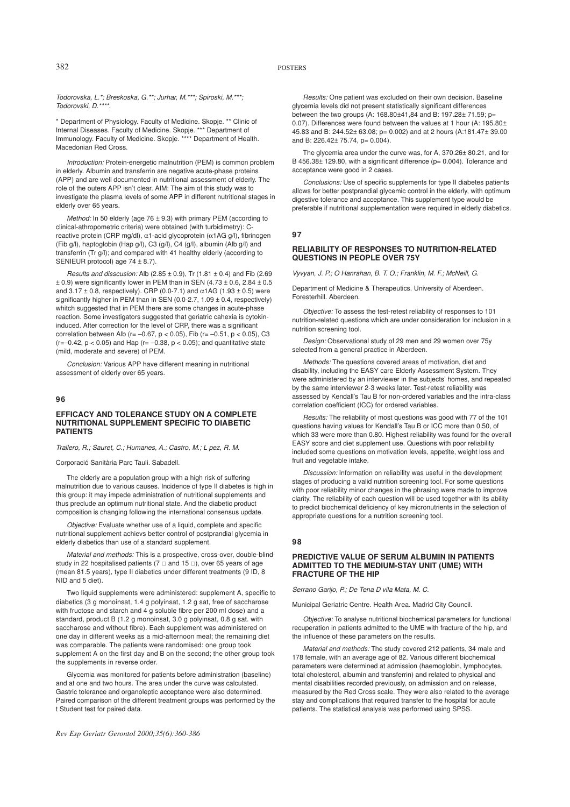*Todorovska, L.\*; Breskoska, G.\*\*; Jurhar, M.\*\*\*; Spiroski, M.\*\*\*; Todorovski, D.\*\*\*\*.*

\* Department of Physiology. Faculty of Medicine. Skopje. \*\* Clinic of Internal Diseases. Faculty of Medicine. Skopje. \*\*\* Department of Immunology. Faculty of Medicine. Skopje. \*\*\*\* Department of Health. Macedonian Red Cross.

*Introduction:* Protein-energetic malnutrition (PEM) is common problem in elderly. Albumin and transferrin are negative acute-phase proteins (APP) and are well documented in nutritional assessment of elderly. The role of the outers APP isn't clear. AIM: The aim of this study was to investigate the plasma levels of some APP in different nutritional stages in elderly over 65 years.

*Method:* In 50 elderly (age 76 ± 9.3) with primary PEM (according to clinical-athropometric criteria) were obtained (with turbidimetry): Creactive protein (CRP mg/dl), α1-acid glycoprotein (α1AG g/l), fibrinogen (Fib g/l), haptoglobin (Hap g/l), C3 (g/l), C4 (g/l), albumin (Alb g/l) and transferrin (Tr g/l); and compared with 41 healthy elderly (according to SENIEUR protocol) age 74 ± 8.7).

*Results and disscusion:* Alb (2.85 ± 0.9), Tr (1.81 ± 0.4) and Fib (2.69  $\pm$  0.9) were significantly lower in PEM than in SEN (4.73  $\pm$  0.6, 2.84  $\pm$  0.5 and  $3.17 \pm 0.8$ , respectively). CRP (0.0-7.1) and  $\alpha$ 1AG (1.93  $\pm$  0.5) were significantly higher in PEM than in SEN ( $0.0$ -2.7,  $1.09 \pm 0.4$ , respectively) whitch suggested that in PEM there are some changes in acute-phase reaction. Some investigators suggested that geriatric cahexia is cytokininduced. After correction for the level of CRP, there was a significant correlation between Alb ( $r = -0.67$ ,  $p < 0.05$ ), Fib ( $r = -0.51$ ,  $p < 0.05$ ), C3 ( $r=-0.42$ ,  $p < 0.05$ ) and Hap ( $r=-0.38$ ,  $p < 0.05$ ); and quantitative state (mild, moderate and severe) of PEM.

*Conclusion:* Various APP have different meaning in nutritional assessment of elderly over 65 years.

#### **96**

#### **EFFICACY AND TOLERANCE STUDY ON A COMPLETE NUTRITIONAL SUPPLEMENT SPECIFIC TO DIABETIC PATIENTS**

*Trallero, R.; Sauret, C.; Humanes, A.; Castro, M.; Lpez, R. M.*

Corporació Sanitària Parc Tauli. Sabadell.

The elderly are a population group with a high risk of suffering malnutrition due to various causes. Incidence of type II diabetes is high in this group: it may impede administration of nutritional supplements and thus preclude an optimum nutritional state. And the diabetic product composition is changing following the international consensus update.

*Objective:* Evaluate whether use of a liquid, complete and specific nutritional supplement achievs better control of postprandial glycemia in elderly diabetics than use of a standard supplement.

*Material and methods:* This is a prospective, cross-over, double-blind study in 22 hospitalised patients (7  $\Box$  and 15  $\Box$ ), over 65 years of age (mean 81.5 years), type II diabetics under different treatments (9 ID, 8 NID and 5 diet).

Two liquid supplements were administered: supplement A, specific to diabetics (3 g monoinsat, 1.4 g polyinsat, 1.2 g sat, free of saccharose with fructose and starch and 4 g soluble fibre per 200 ml dose) and a standard, product B (1.2 g monoinsat, 3.0 g polyinsat, 0.8 g sat. with saccharose and without fibre). Each supplement was administered on one day in different weeks as a mid-afternoon meal; the remaining diet was comparable. The patients were randomised: one group took supplement A on the first day and B on the second; the other group took the supplements in reverse order.

Glycemia was monitored for patients before administration (baseline) and at one and two hours. The area under the curve was calculated. Gastric tolerance and organoleptic acceptance were also determined. Paired comparison of the different treatment groups was performed by the t Student test for paired data.

*Rev Esp Geriatr Gerontol 2000;35(6):360-386*

*Results:* One patient was excluded on their own decision. Baseline glycemia levels did not present statistically significant differences between the two groups (A: 168.80±41,84 and B: 197.28± 71.59; p= 0.07). Differences were found between the values at 1 hour (A: 195.80± 45.83 and B: 244.52± 63.08; p= 0.002) and at 2 hours (A:181.47± 39.00 and B: 226.42± 75.74, p= 0.004).

The glycemia area under the curve was, for A, 370.26± 80.21, and for B 456.38± 129.80, with a significant difference (p= 0.004). Tolerance and acceptance were good in 2 cases.

*Conclusions:* Use of specific supplements for type II diabetes patients allows for better postprandial glycemic control in the elderly, with optimum digestive tolerance and acceptance. This supplement type would be preferable if nutritional supplementation were required in elderly diabetics.

#### **97**

#### **RELIABILITY OF RESPONSES TO NUTRITION-RELATED QUESTIONS IN PEOPLE OVER 75Y**

Vyvyan, J. P.; O Hanrahan, B. T. O.; Franklin, M. F.; McNeill, G.

Department of Medicine & Therapeutics. University of Aberdeen. Foresterhill. Aberdeen.

*Objective:* To assess the test-retest reliability of responses to 101 nutrition-related questions which are under consideration for inclusion in a nutrition screening tool.

*Design:* Observational study of 29 men and 29 women over 75y selected from a general practice in Aberdeen.

*Methods:* The questions covered areas of motivation, diet and disability, including the EASY care Elderly Assessment System. They were administered by an interviewer in the subjects' homes, and repeated by the same interviewer 2-3 weeks later. Test-retest reliability was assessed by Kendall's Tau B for non-ordered variables and the intra-class correlation coefficient (ICC) for ordered variables.

*Results:* The reliability of most questions was good with 77 of the 101 questions having values for Kendall's Tau B or ICC more than 0.50, of which 33 were more than 0.80. Highest reliability was found for the overall EASY score and diet supplement use. Questions with poor reliability included some questions on motivation levels, appetite, weight loss and fruit and vegetable intake.

*Discussion:* Information on reliability was useful in the development stages of producing a valid nutrition screening tool. For some questions with poor reliability minor changes in the phrasing were made to improve clarity. The reliability of each question will be used together with its ability to predict biochemical deficiency of key micronutrients in the selection of appropriate questions for a nutrition screening tool.

# **98**

#### **PREDICTIVE VALUE OF SERUM ALBUMIN IN PATIENTS ADMITTED TO THE MEDIUM-STAY UNIT (UME) WITH FRACTURE OF THE HIP**

*Serrano Garijo, P.; De Tena Dvila Mata, M. C.*

Municipal Geriatric Centre. Health Area. Madrid City Council.

*Objective:* To analyse nutritional biochemical parameters for functional recuperation in patients admitted to the UME with fracture of the hip, and the influence of these parameters on the results.

*Material and methods:* The study covered 212 patients, 34 male and 178 female, with an average age of 82. Various different biochemical parameters were determined at admission (haemoglobin, lymphocytes, total cholesterol, albumin and transferrin) and related to physical and mental disabilities recorded previously, on admission and on release, measured by the Red Cross scale. They were also related to the average stay and complications that required transfer to the hospital for acute patients. The statistical analysis was performed using SPSS.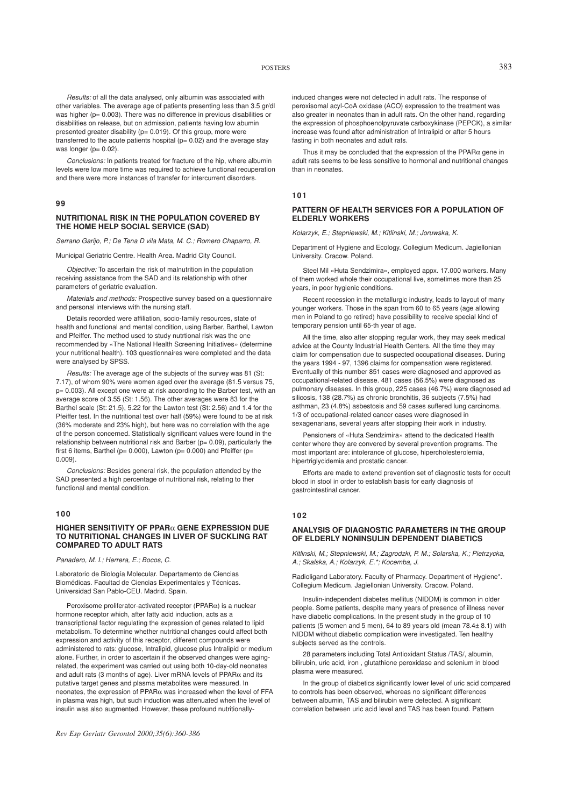*Results:* of all the data analysed, only albumin was associated with other variables. The average age of patients presenting less than 3.5 gr/dl was higher (p= 0.003). There was no difference in previous disabilities or disabilities on release, but on admission, patients having low abumin presented greater disability ( $p= 0.019$ ). Of this group, more were transferred to the acute patients hospital ( $p= 0.02$ ) and the average stay was longer  $(p= 0.02)$ .

*Conclusions:* In patients treated for fracture of the hip, where albumin levels were low more time was required to achieve functional recuperation and there were more instances of transfer for intercurrent disorders.

**99**

#### **NUTRITIONAL RISK IN THE POPULATION COVERED BY THE HOME HELP SOCIAL SERVICE (SAD)**

*Serrano Garijo, P.; De Tena Dvila Mata, M. C.; Romero Chaparro, R.*

Municipal Geriatric Centre. Health Area. Madrid City Council.

*Objective:* To ascertain the risk of malnutrition in the population receiving assistance from the SAD and its relationship with other parameters of geriatric evaluation.

*Materials and methods:* Prospective survey based on a questionnaire and personal interviews with the nursing staff.

Details recorded were affiliation, socio-family resources, state of health and functional and mental condition, using Barber, Barthel, Lawton and Pfeiffer. The method used to study nutrtional risk was the one recommended by «The National Health Screening Initiatives» (determine your nutritional health). 103 questionnaires were completed and the data were analysed by SPSS.

*Results:* The average age of the subjects of the survey was 81 (St: 7.17), of whom 90% were women aged over the average (81.5 versus 75, p= 0.003). All except one were at risk according to the Barber test, with an average score of 3.55 (St: 1.56). The other averages were 83 for the Barthel scale (St: 21.5), 5.22 for the Lawton test (St: 2.56) and 1.4 for the Pfeiffer test. In the nutritional test over half (59%) were found to be at risk (36% moderate and 23% high), but here was no correlation with the age of the person concerned. Statistically significant values were found in the relationship between nutritional risk and Barber (p= 0.09), particularly the first 6 items, Barthel ( $p= 0.000$ ), Lawton ( $p= 0.000$ ) and Pfeiffer ( $p=$ 0.009).

*Conclusions:* Besides general risk, the population attended by the SAD presented a high percentage of nutritional risk, relating to ther functional and mental condition.

#### **100**

#### **HIGHER SENSITIVITY OF PPAR**α **GENE EXPRESSION DUE TO NUTRITIONAL CHANGES IN LIVER OF SUCKLING RAT COMPARED TO ADULT RATS**

*Panadero, M. I.; Herrera, E.; Bocos, C.*

Laboratorio de Biología Molecular. Departamento de Ciencias Biomédicas. Facultad de Ciencias Experimentales y Técnicas. Universidad San Pablo-CEU. Madrid. Spain.

Peroxisome proliferator-activated receptor (PPAR $\alpha$ ) is a nuclear hormone receptor which, after fatty acid induction, acts as a transcriptional factor regulating the expression of genes related to lipid metabolism. To determine whether nutritional changes could affect both expression and activity of this receptor, different compounds were administered to rats: glucose, Intralipid, glucose plus Intralipid or medium alone. Further, in order to ascertain if the observed changes were agingrelated, the experiment was carried out using both 10-day-old neonates and adult rats (3 months of age). Liver mRNA levels of  $PPAR\alpha$  and its putative target genes and plasma metabolites were measured. In neonates, the expression of PPARα was increased when the level of FFA in plasma was high, but such induction was attenuated when the level of insulin was also augmented. However, these profound nutritionally-

induced changes were not detected in adult rats. The response of peroxisomal acyl-CoA oxidase (ACO) expression to the treatment was also greater in neonates than in adult rats. On the other hand, regarding the expression of phosphoenolpyruvate carboxykinase (PEPCK), a similar increase was found after administration of Intralipid or after 5 hours fasting in both neonates and adult rats.

Thus it may be concluded that the expression of the PPAR $\alpha$  gene in adult rats seems to be less sensitive to hormonal and nutritional changes than in neonates.

# **101**

## **PATTERN OF HEALTH SERVICES FOR A POPULATION OF ELDERLY WORKERS**

*Kolarzyk, E.; Stepniewski, M.; Kitlinski, M.; Joruwska, K.*

Department of Hygiene and Ecology. Collegium Medicum. Jagiellonian University. Cracow. Poland.

Steel Mil «Huta Sendzimira», employed appx. 17.000 workers. Many of them worked whole their occupational live, sometimes more than 25 years, in poor hygienic conditions.

Recent recession in the metallurgic industry, leads to layout of many younger workers. Those in the span from 60 to 65 years (age allowing men in Poland to go retired) have possibility to receive special kind of temporary pension until 65-th year of age.

All the time, also after stopping regular work, they may seek medical advice at the County Industrial Health Centers. All the time they may claim for compensation due to suspected occupational diseases. During the years 1994 - 97, 1396 claims for compensation were registered. Eventually of this number 851 cases were diagnosed and approved as occupational-related disease. 481 cases (56.5%) were diagnosed as pulmonary diseases. In this group, 225 cases (46.7%) were diagnosed ad silicosis, 138 (28.7%) as chronic bronchitis, 36 subjects (7.5%) had asthman, 23 (4.8%) asbestosis and 59 cases suffered lung carcinoma. 1/3 of occupational-related cancer cases were diagnosed in sexagenarians, several years after stopping their work in industry.

Pensioners of «Huta Sendzimira» attend to the dedicated Health center where they are convered by several prevention programs. The most important are: intolerance of glucose, hipercholesterolemia, hipertriglycidemia and prostatic cancer.

Efforts are made to extend prevention set of diagnostic tests for occult blood in stool in order to establish basis for early diagnosis of gastrointestinal cancer.

# **102**

# **ANALYSIS OF DIAGNOSTIC PARAMETERS IN THE GROUP OF ELDERLY NONINSULIN DEPENDENT DIABETICS**

*Kitlinski, M.; Stepniewski, M.; Zagrodzki, P. M.; Solarska, K.; Pietrzycka, A.; Skalska, A.; Kolarzyk, E.\*; Kocemba, J.*

Radioligand Laboratory. Faculty of Pharmacy. Department of Hygiene\*. Collegium Medicum. Jagiellonian University. Cracow. Poland.

Insulin-independent diabetes mellitus (NIDDM) is common in older people. Some patients, despite many years of presence of illness never have diabetic complications. In the present study in the group of 10 patients (5 women and 5 men), 64 to 89 years old (mean 78.4± 8.1) with NIDDM without diabetic complication were investigated. Ten healthy subjects served as the controls.

28 parameters including Total Antioxidant Status /TAS/, albumin, bilirubin, uric acid, iron , glutathione peroxidase and selenium in blood plasma were measured.

In the group of diabetics significantly lower level of uric acid compared to controls has been observed, whereas no significant differences between albumin, TAS and bilirubin were detected. A significant correlation between uric acid level and TAS has been found. Pattern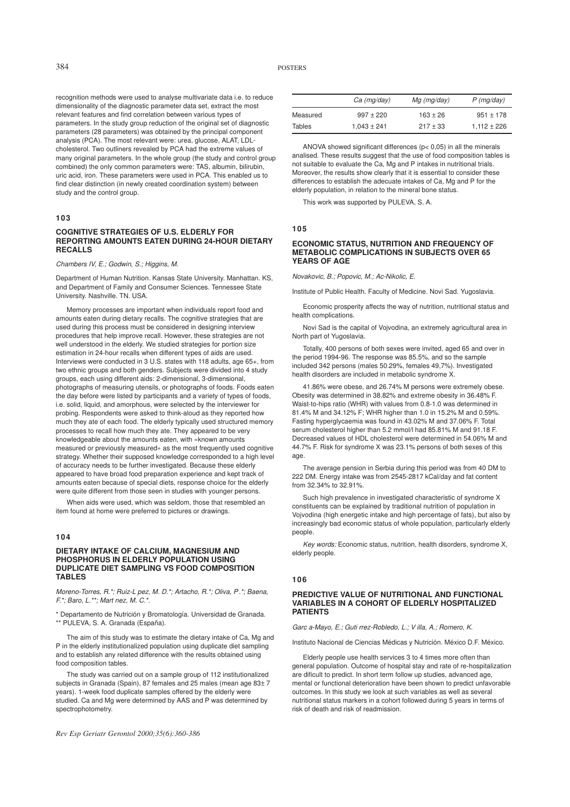recognition methods were used to analyse multivariate data i.e. to reduce dimensionality of the diagnostic parameter data set, extract the most relevant features and find correlation between various types of parameters. In the study group reduction of the original set of diagnostic parameters (28 parameters) was obtained by the principal component analysis (PCA). The most relevant were: urea, glucose, ALAT, LDLcholesterol. Two outliners revealed by PCA had the extreme values of many original parameters. In the whole group (the study and control group combined) the only common parameters were: TAS, albumin, bilirubin, uric acid, iron. These parameters were used in PCA. This enabled us to find clear distinction (in newly created coordination system) between study and the control group.

# **103**

## **COGNITIVE STRATEGIES OF U.S. ELDERLY FOR REPORTING AMOUNTS EATEN DURING 24-HOUR DIETARY RECALLS**

*Chambers IV, E.; Godwin, S.; Higgins, M.*

Department of Human Nutrition. Kansas State University. Manhattan. KS, and Department of Family and Consumer Sciences. Tennessee State University. Nashville. TN. USA.

Memory processes are important when individuals report food and amounts eaten during dietary recalls. The cognitive strategies that are used during this process must be considered in designing interview procedures that help improve recall. However, these strategies are not well understood in the elderly. We studied strategies for portion size estimation in 24-hour recalls when different types of aids are used. Interviews were conducted in 3 U.S. states with 118 adults, age 65+, from two ethnic groups and both genders. Subjects were divided into 4 study groups, each using different aids: 2-dimensional, 3-dimensional, photographs of measuring utensils, or photographs of foods. Foods eaten the day before were listed by participants and a variety of types of foods, i.e. solid, liquid, and amorphous, were selected by the interviewer for probing. Respondents were asked to think-aloud as they reported how much they ate of each food. The elderly typically used structured memory processes to recall how much they ate. They appeared to be very knowledgeable about the amounts eaten, with «known amounts measured or previously measured» as the most frequently used cognitive strategy. Whether their supposed knowledge corresponded to a high level of accuracy needs to be further investigated. Because these elderly appeared to have broad food preparation experience and kept track of amounts eaten because of special diets, response choice for the elderly were quite different from those seen in studies with younger persons.

When aids were used, which was seldom, those that resembled an item found at home were preferred to pictures or drawings.

# **104**

#### **DIETARY INTAKE OF CALCIUM, MAGNESIUM AND PHOSPHORUS IN ELDERLY POPULATION USING DUPLICATE DIET SAMPLING VS FOOD COMPOSITION TABLES**

*Moreno-Torres, R.\*; Ruiz-Lpez, M. D.\*; Artacho, R.\*; Oliva, P .\*; Baena, F.\*; Baro, L.\*\*; Martnez, M. C.\*.*

\* Departamento de Nutrición y Bromatología. Universidad de Granada. \*\* PULEVA, S. A. Granada (España).

The aim of this study was to estimate the dietary intake of Ca, Mg and P in the elderly institutionalized population using duplicate diet sampling and to establish any related difference with the results obtained using food composition tables.

The study was carried out on a sample group of 112 institutionalized subjects in Granada (Spain), 87 females and 25 males (mean age 83± 7 years). 1-week food duplicate samples offered by the elderly were studied. Ca and Mg were determined by AAS and P was determined by spectrophotometry.

*Rev Esp Geriatr Gerontol 2000;35(6):360-386*

| Ca (mg/day) | $Mg$ (mg/day) |
|-------------|---------------|

|          | Ca (mg/day)     | $Mg$ (mg/day) | $P$ (mg/day)    |
|----------|-----------------|---------------|-----------------|
| Measured | $997 + 220$     | $163 \pm 26$  | $951 + 178$     |
| Tables   | $1.043 \pm 241$ | $217 + 33$    | $1,112 \pm 226$ |

ANOVA showed significant differences (p< 0,05) in all the minerals analised. These results suggest that the use of food composition tables is not suitable to evaluate the Ca, Mg and P intakes in nutritional trials. Moreover, the results show clearly that it is essential to consider these differences to establish the adecuate intakes of Ca, Mg and P for the elderly population, in relation to the mineral bone status.

This work was supported by PULEVA, S. A.

#### **105**

# **ECONOMIC STATUS, NUTRITION AND FREQUENCY OF METABOLIC COMPLICATIONS IN SUBJECTS OVER 65 YEARS OF AGE**

*Novakovic, B.; Popovic, M.; Ac-Nikolic, E.*

Institute of Public Health. Faculty of Medicine. Novi Sad. Yugoslavia.

Economic prosperity affects the way of nutrition, nutritional status and health complications.

Novi Sad is the capital of Vojvodina, an extremely agricultural area in North part of Yugoslavia.

Totally, 400 persons of both sexes were invited, aged 65 and over in the period 1994-96. The response was 85.5%, and so the sample included 342 persons (males 50.29%, females 49,7%). Investigated health disorders are included in metabolic syndrome X.

41.86% were obese, and 26.74% M persons were extremely obese. Obesity was determined in 38.82% and extreme obesity in 36.48% F. Waist-to-hips ratio (WHR) with values from 0.8-1.0 was determined in 81.4% M and 34.12% F; WHR higher than 1.0 in 15.2% M and 0.59%. Fasting hyperglycaemia was found in 43.02% M and 37.06% F. Total serum cholesterol higher than 5.2 mmol/l had 85.81% M and 91.18 F. Decreased values of HDL cholesterol were determined in 54.06% M and 44.7% F. Risk for syndrome X was 23.1% persons of both sexes of this age.

The average pension in Serbia during this period was from 40 DM to 222 DM. Energy intake was from 2545-2817 kCal/day and fat content from 32.34% to 32.91%.

Such high prevalence in investigated characteristic of syndrome X constituents can be explained by traditional nutrition of population in Vojvodina (high energetic intake and high percentage of fats), but also by increasingly bad economic status of whole population, particularly elderly people.

*Key words:* Economic status, nutrition, health disorders, syndrome X, elderly people.

#### **106**

#### **PREDICTIVE VALUE OF NUTRITIONAL AND FUNCTIONAL VARIABLES IN A COHORT OF ELDERLY HOSPITALIZED PATIENTS**

*Garca-Mayo, E.; Gutirrez-Robledo, L.; V illa, A.; Romero, K.*

Instituto Nacional de Ciencias Médicas y Nutrición. México D.F. México.

Elderly people use health services 3 to 4 times more often than general population. Outcome of hospital stay and rate of re-hospitalization are dificult to predict. In short term follow up studies, advanced age, mental or functional deterioration have been shown to predict unfavorable outcomes. In this study we look at such variables as well as several nutritional status markers in a cohort followed during 5 years in terms of risk of death and risk of readmission.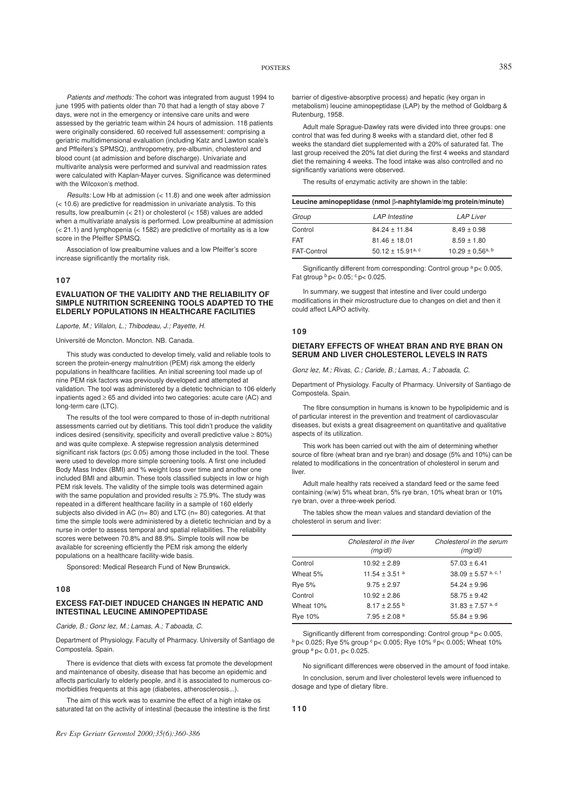*Patients and methods:* The cohort was integrated from august 1994 to june 1995 with patients older than 70 that had a length of stay above 7 days, were not in the emergency or intensive care units and were assessed by the geriatric team within 24 hours of admission. 118 patients were originally considered. 60 received full assessement: comprising a geriatric multidimensional evaluation (including Katz and Lawton scale's and Pffeifers's SPMSQ), anthropometry, pre-albumin, cholesterol and blood count (at admission and before discharge). Univariate and multivarite analysis were performed and survival and readmission rates were calculated with Kaplan-Mayer curves. Significance was determined with the Wilcoxon's method.

*Results:* Low Hb at admission (< 11.8) and one week after admission (< 10.6) are predictive for readmission in univariate analysis. To this results, low prealbumin (< 21) or cholesterol (< 158) values are added when a multivariate analysis is performed. Low prealbumine at admission  $(< 21.1$ ) and lymphopenia  $(< 1582)$  are predictive of mortality as is a low score in the Pfeiffer SPMSQ.

Association of low prealbumine values and a low Pfeiffer's score increase significantly the mortality risk.

#### **107**

#### **EVALUATION OF THE VALIDITY AND THE RELIABILITY OF SIMPLE NUTRITION SCREENING TOOLS ADAPTED TO THE ELDERLY POPULATIONS IN HEALTHCARE FACILITIES**

*Laporte, M.; Villalon, L.; Thibodeau, J.; Payette, H.*

Université de Moncton. Moncton. NB. Canada.

This study was conducted to develop timely, valid and reliable tools to screen the protein-energy malnutrition (PEM) risk among the elderly populations in healthcare facilities. An initial screening tool made up of nine PEM risk factors was previously developed and attempted at validation. The tool was administered by a dietetic technician to 106 elderly inpatients aged ≥ 65 and divided into two categories: acute care (AC) and long-term care (LTC).

The results of the tool were compared to those of in-depth nutritional assessments carried out by dietitians. This tool didn't produce the validity indices desired (sensitivity, specificity and overall predictive value ≥ 80%) and was quite complexe. A stepwise regression analysis determined significant risk factors (p≤ 0.05) among those included in the tool. These were used to develop more simple screening tools. A first one included Body Mass Index (BMI) and % weight loss over time and another one included BMI and albumin. These tools classified subjects in low or high PEM risk levels. The validity of the simple tools was determined again with the same population and provided results  $\geq$  75.9%. The study was repeated in a different healthcare facility in a sample of 160 elderly subjects also divided in AC (n= 80) and LTC (n= 80) categories. At that time the simple tools were administered by a dietetic technician and by a nurse in order to assess temporal and spatial reliabilities. The reliability scores were between 70.8% and 88.9%. Simple tools will now be available for screening efficiently the PEM risk among the elderly populations on a healthcare facility-wide basis.

Sponsored: Medical Research Fund of New Brunswick.

#### **108**

# **EXCESS FAT-DIET INDUCED CHANGES IN HEPATIC AND INTESTINAL LEUCINE AMINOPEPTIDASE**

*Caride, B.; Gonzlez, M.; Lamas, A.; T aboada, C.*

Department of Physiology. Faculty of Pharmacy. University of Santiago de Compostela. Spain.

There is evidence that diets with excess fat promote the development and maintenance of obesity, disease that has become an epidemic and affects particularly to elderly people, and it is associated to numerous comorbidities frequents at this age (diabetes, atherosclerosis...).

The aim of this work was to examine the effect of a high intake os saturated fat on the activity of intestinal (because the intestine is the first barrier of digestive-absorptive process) and hepatic (key organ in metabolism) leucine aminopeptidase (LAP) by the method of Goldbarg & Rutenburg, 1958.

Adult male Sprague-Dawley rats were divided into three groups: one control that was fed during 8 weeks with a standard diet, other fed 8 weeks the standard diet supplemented with a 20% of saturated fat. The last group received the 20% fat diet during the first 4 weeks and standard diet the remaining 4 weeks. The food intake was also controlled and no significantly variations were observed.

The results of enzymatic activity are shown in the table:

| Leucine aminopeptidase (nmol $\beta$ -naphtylamide/mq protein/minute) |                                   |                       |  |
|-----------------------------------------------------------------------|-----------------------------------|-----------------------|--|
| Group                                                                 | <b>LAP</b> Intestine              | <b>LAP Liver</b>      |  |
| Control                                                               | $84.24 \pm 11.84$                 | $8.49 \pm 0.98$       |  |
| <b>FAT</b>                                                            | $81.46 \pm 18.01$                 | $8.59 + 1.80$         |  |
| <b>FAT-Control</b>                                                    | 50.12 $\pm$ 15.91 <sup>a, c</sup> | $10.29 \pm 0.56$ a, b |  |

Significantly different from corresponding: Control group <sup>a</sup> p< 0.005, Fat gtroup  $\frac{b}{p}$  p < 0.05;  $\frac{c}{p}$  p < 0.025.

In summary, we suggest that intestine and liver could undergo modifications in their microstructure due to changes on diet and then it could affect LAPO activity.

#### **109**

#### **DIETARY EFFECTS OF WHEAT BRAN AND RYE BRAN ON SERUM AND LIVER CHOLESTEROL LEVELS IN RATS**

*Gonzlez, M.; Rivas, C.; Caride, B.; Lamas, A.; T aboada, C.*

Department of Physiology. Faculty of Pharmacy. University of Santiago de Compostela. Spain.

The fibre consumption in humans is known to be hypolipidemic and is of particular interest in the prevention and treatment of cardiovascular diseases, but exists a great disagreement on quantitative and qualitative aspects of its utilization.

This work has been carried out with the aim of determining whether source of fibre (wheat bran and rye bran) and dosage (5% and 10%) can be related to modifications in the concentration of cholesterol in serum and liver.

Adult male healthy rats received a standard feed or the same feed containing (w/w) 5% wheat bran, 5% rye bran, 10% wheat bran or 10% rye bran, over a three-week period.

The tables show the mean values and standard deviation of the cholesterol in serum and liver:

|               | Cholesterol in the liver<br>(mq/dl) | Cholesterol in the serum<br>(mg/dl) |
|---------------|-------------------------------------|-------------------------------------|
| Control       | $10.92 + 2.89$                      | $57.03 \pm 6.41$                    |
| Wheat 5%      | 11.54 $\pm$ 3.51 $^{\circ}$         | 38.09 ± 5.57 a, c, f                |
| <b>Rye 5%</b> | $9.75 + 2.97$                       | $54.24 + 9.96$                      |
| Control       | $10.92 + 2.86$                      | $58.75 + 9.42$                      |
| Wheat 10%     | $8.17 \pm 2.55$ b                   | $31.83 + 7.57$ a, d                 |
| Rye 10%       | $7.95 \pm 2.08$ <sup>a</sup>        | $55.84 \pm 9.96$                    |

Significantly different from corresponding: Control group a p< 0.005,  $b$  p< 0.025; Rye 5% group  $c$  p< 0.005; Rye 10%  $d$  p< 0.005; Wheat 10% aroup  $e$  p< 0.01, p< 0.025.

No significant differences were observed in the amount of food intake.

In conclusion, serum and liver cholesterol levels were influenced to dosage and type of dietary fibre.